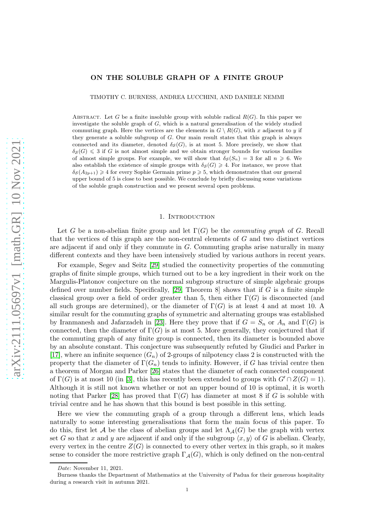## ON THE SOLUBLE GRAPH OF A FINITE GROUP

TIMOTHY C. BURNESS, ANDREA LUCCHINI, AND DANIELE NEMMI

ABSTRACT. Let G be a finite insoluble group with soluble radical  $R(G)$ . In this paper we investigate the soluble graph of  $G$ , which is a natural generalisation of the widely studied commuting graph. Here the vertices are the elements in  $G \setminus R(G)$ , with x adjacent to y if they generate a soluble subgroup of G. Our main result states that this graph is always connected and its diameter, denoted  $\delta_{\mathcal{S}}(G)$ , is at most 5. More precisely, we show that  $\delta_{\mathcal{S}}(G) \leq 3$  if G is not almost simple and we obtain stronger bounds for various families of almost simple groups. For example, we will show that  $\delta(\mathcal{S}_n) = 3$  for all  $n \geq 6$ . We also establish the existence of simple groups with  $\delta_{\mathcal{S}}(G) \geq 4$ . For instance, we prove that  $\delta_{\mathcal{S}}(A_{2p+1}) \geq 4$  for every Sophie Germain prime  $p \geq 5$ , which demonstrates that our general upper bound of 5 is close to best possible. We conclude by briefly discussing some variations of the soluble graph construction and we present several open problems.

#### 1. INTRODUCTION

<span id="page-0-0"></span>Let G be a non-abelian finite group and let Γ(G) be the *commuting graph* of G. Recall that the vertices of this graph are the non-central elements of G and two distinct vertices are adjacent if and only if they commute in G. Commuting graphs arise naturally in many different contexts and they have been intensively studied by various authors in recent years.

For example, Segev and Seitz [\[29\]](#page-27-0) studied the connectivity properties of the commuting graphs of finite simple groups, which turned out to be a key ingredient in their work on the Margulis-Platonov conjecture on the normal subgroup structure of simple algebraic groups defined over number fields. Specifically,  $[29,$  Theorem 8 shows that if G is a finite simple classical group over a field of order greater than 5, then either  $\Gamma(G)$  is disconnected (and all such groups are determined), or the diameter of  $\Gamma(G)$  is at least 4 and at most 10. A similar result for the commuting graphs of symmetric and alternating groups was established by Iranmanesh and Jafarzadeh in [\[23\]](#page-27-1). Here they prove that if  $G = S_n$  or  $A_n$  and  $\Gamma(G)$  is connected, then the diameter of  $\Gamma(G)$  is at most 5. More generally, they conjectured that if the commuting graph of any finite group is connected, then its diameter is bounded above by an absolute constant. This conjecture was subsequently refuted by Giudici and Parker in [\[17\]](#page-26-0), where an infinite sequence  $(G_n)$  of 2-groups of nilpotency class 2 is constructed with the property that the diameter of  $\Gamma(G_n)$  tends to infinity. However, if G has trivial centre then a theorem of Morgan and Parker [\[26\]](#page-27-2) states that the diameter of each connected component of  $\Gamma(G)$  is at most 10 (in [\[3\]](#page-26-1), this has recently been extended to groups with  $G' \cap Z(G) = 1$ ). Although it is still not known whether or not an upper bound of 10 is optimal, it is worth noting that Parker [\[28\]](#page-27-3) has proved that  $\Gamma(G)$  has diameter at most 8 if G is soluble with trivial centre and he has shown that this bound is best possible in this setting.

Here we view the commuting graph of a group through a different lens, which leads naturally to some interesting generalisations that form the main focus of this paper. To do this, first let A be the class of abelian groups and let  $\Lambda_A(G)$  be the graph with vertex set G so that x and y are adjacent if and only if the subgroup  $\langle x, y \rangle$  of G is abelian. Clearly, every vertex in the centre  $Z(G)$  is connected to every other vertex in this graph, so it makes sense to consider the more restrictive graph  $\Gamma_{\mathcal{A}}(G)$ , which is only defined on the non-central

Date: November 11, 2021.

Burness thanks the Department of Mathematics at the University of Padua for their generous hospitality during a research visit in autumn 2021.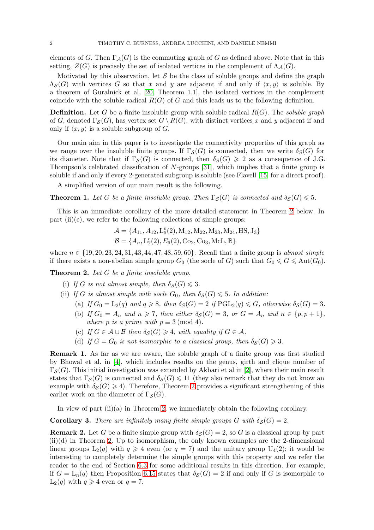elements of G. Then  $\Gamma_{\mathcal{A}}(G)$  is the commuting graph of G as defined above. Note that in this setting,  $Z(G)$  is precisely the set of isolated vertices in the complement of  $\Lambda_A(G)$ .

Motivated by this observation, let  $S$  be the class of soluble groups and define the graph  $\Lambda_{\mathcal{S}}(G)$  with vertices G so that x and y are adjacent if and only if  $\langle x, y \rangle$  is soluble. By a theorem of Guralnick et al. [\[20,](#page-26-2) Theorem 1.1], the isolated vertices in the complement coincide with the soluble radical  $R(G)$  of G and this leads us to the following definition.

Definition. Let G be a finite insoluble group with soluble radical R(G). The *soluble graph* of G, denoted  $\Gamma_{\mathcal{S}}(G)$ , has vertex set  $G \setminus R(G)$ , with distinct vertices x and y adjacent if and only if  $\langle x, y \rangle$  is a soluble subgroup of G.

Our main aim in this paper is to investigate the connectivity properties of this graph as we range over the insoluble finite groups. If  $\Gamma_S(G)$  is connected, then we write  $\delta_S(G)$  for its diameter. Note that if  $\Gamma_{\mathcal{S}}(G)$  is connected, then  $\delta_{\mathcal{S}}(G) \geq 2$  as a consequence of J.G. Thompson's celebrated classification of N-groups [\[31\]](#page-27-4), which implies that a finite group is soluble if and only if every 2-generated subgroup is soluble (see Flavell [\[15\]](#page-26-3) for a direct proof).

A simplified version of our main result is the following.

<span id="page-1-1"></span>**Theorem 1.** Let G be a finite insoluble group. Then  $\Gamma_S(G)$  is connected and  $\delta_S(G) \leq 5$ .

This is an immediate corollary of the more detailed statement in Theorem [2](#page-1-0) below. In part  $(ii)(c)$ , we refer to the following collections of simple groups:

$$
A = \{A_{11}, A_{12}, L_5^{\epsilon}(2), M_{12}, M_{22}, M_{23}, M_{24}, HS, J_3\}
$$
  

$$
B = \{A_n, L_7^{\epsilon}(2), E_6(2), Co_2, Co_3, McL, \mathbb{B}\}
$$

where  $n \in \{19, 20, 23, 24, 31, 43, 44, 47, 48, 59, 60\}$ . Recall that a finite group is *almost simple* if there exists a non-abelian simple group  $G_0$  (the socle of G) such that  $G_0 \leq G \leq \text{Aut}(G_0)$ .

<span id="page-1-0"></span>Theorem 2. *Let* G *be a finite insoluble group.*

- (i) *If* G is not almost simple, then  $\delta_S(G) \leq 3$ .
- (ii) *If* G is almost simple with socle  $G_0$ , then  $\delta_S(G) \leq 5$ . In addition:
	- (a) *If*  $G_0 = L_2(q)$  *and*  $q \ge 8$ *, then*  $\delta_S(G) = 2$  *if*  $PGL_2(q) \le G$ *, otherwise*  $\delta_S(G) = 3$ *.* (b) *If*  $G_0 = A_n$  *and*  $n \ge 7$ *, then either*  $\delta_S(G) = 3$ *, or*  $G = A_n$  *and*  $n \in \{p, p + 1\}$ *, where p is a prime with*  $p \equiv 3 \pmod{4}$ *.*
	- (c) If  $G \in \mathcal{A} \cup \mathcal{B}$  then  $\delta_{\mathcal{S}}(G) \geq 4$ , with equality if  $G \in \mathcal{A}$ .
	- (d) *If*  $G = G_0$  *is not isomorphic to a classical group, then*  $\delta_S(G) \geq 3$ *.*

Remark 1. As far as we are aware, the soluble graph of a finite group was first studied by Bhowal et al. in [\[4\]](#page-26-4), which includes results on the genus, girth and clique number of  $\Gamma_{\mathcal{S}}(G)$ . This initial investigation was extended by Akbari et al in [\[2\]](#page-26-5), where their main result states that  $\Gamma_{\mathcal{S}}(G)$  is connected and  $\delta_{\mathcal{S}}(G) \leq 11$  (they also remark that they do not know an example with  $\delta_{\mathcal{S}}(G) \geq 4$ ). Therefore, Theorem [2](#page-1-0) provides a significant strengthening of this earlier work on the diameter of  $\Gamma_{\mathcal{S}}(G)$ .

In view of part (ii)(a) in Theorem [2,](#page-1-0) we immediately obtain the following corollary.

**Corollary 3.** *There are infinitely many finite simple groups* G with  $\delta_S(G) = 2$ .

<span id="page-1-2"></span>**Remark 2.** Let G be a finite simple group with  $\delta_S(G) = 2$ , so G is a classical group by part  $(ii)(d)$  in Theorem [2.](#page-1-0) Up to isomorphism, the only known examples are the 2-dimensional linear groups  $L_2(q)$  with  $q \geq 4$  even (or  $q = 7$ ) and the unitary group  $U_4(2)$ ; it would be interesting to completely determine the simple groups with this property and we refer the reader to the end of Section [6.3](#page-19-0) for some additional results in this direction. For example, if  $G = L_n(q)$  then Proposition [6.15](#page-22-0) states that  $\delta_{\mathcal{S}}(G) = 2$  if and only if G is isomorphic to  $L_2(q)$  with  $q \geq 4$  even or  $q = 7$ .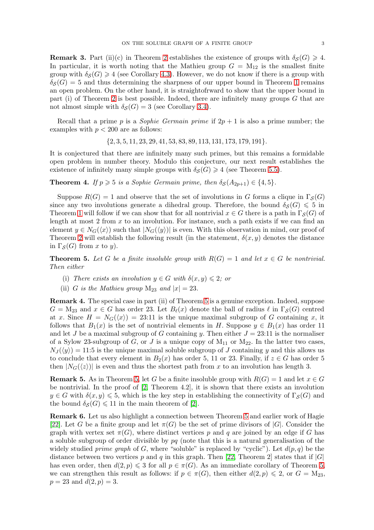**Remark 3.** Part (ii)(c) in Theorem [2](#page-1-0) establishes the existence of groups with  $\delta_{\mathcal{S}}(G) \geq 4$ . In particular, it is worth noting that the Mathieu group  $G = M_{12}$  is the smallest finite group with  $\delta_{\mathcal{S}}(G) \geq 4$  (see Corollary [4.3\)](#page-9-0). However, we do not know if there is a group with  $\delta_S(G) = 5$  and thus determining the sharpness of our upper bound in Theorem [1](#page-1-1) remains an open problem. On the other hand, it is straightofrward to show that the upper bound in part (i) of Theorem [2](#page-1-0) is best possible. Indeed, there are infinitely many groups  $G$  that are not almost simple with  $\delta_S(G) = 3$  (see Corollary [3.4\)](#page-8-0).

Recall that a prime p is a *Sophie Germain prime* if  $2p + 1$  is also a prime number; the examples with  $p < 200$  are as follows:

 $\{2, 3, 5, 11, 23, 29, 41, 53, 83, 89, 113, 131, 173, 179, 191\}.$ 

It is conjectured that there are infinitely many such primes, but this remains a formidable open problem in number theory. Modulo this conjecture, our next result establishes the existence of infinitely many simple groups with  $\delta_S(G) \geq 4$  (see Theorem [5.5\)](#page-14-0).

<span id="page-2-2"></span>**Theorem 4.** *If*  $p \ge 5$  *is a Sophie Germain prime, then*  $\delta_{\mathcal{S}}(A_{2p+1}) \in \{4, 5\}$ *.* 

Suppose  $R(G) = 1$  and observe that the set of involutions in G forms a clique in  $\Gamma_S(G)$ since any two involutions generate a dihedral group. Therefore, the bound  $\delta_{\mathcal{S}}(G) \leq 5$  in Theorem [1](#page-1-1) will follow if we can show that for all nontrivial  $x \in G$  there is a path in  $\Gamma_S(G)$  of length at most 2 from  $x$  to an involution. For instance, such a path exists if we can find an element  $y \in N_G(\langle x \rangle)$  such that  $|N_G(\langle y \rangle)|$  is even. With this observation in mind, our proof of Theorem [2](#page-1-0) will establish the following result (in the statement,  $\delta(x, y)$  denotes the distance in  $\Gamma_{\mathcal{S}}(G)$  from x to y).

<span id="page-2-0"></span>**Theorem 5.** Let G be a finite insoluble group with  $R(G) = 1$  and let  $x \in G$  be nontrivial. *Then either*

- (i) *There exists an involution*  $y \in G$  *with*  $\delta(x, y) \leq 2$ *; or*
- (ii) G *is the Mathieu group*  $M_{23}$  *and*  $|x| = 23$ *.*

<span id="page-2-1"></span>Remark 4. The special case in part (ii) of Theorem [5](#page-2-0) is a genuine exception. Indeed, suppose  $G = M_{23}$  and  $x \in G$  has order 23. Let  $B_{\ell}(x)$  denote the ball of radius  $\ell$  in  $\Gamma_{\mathcal{S}}(G)$  centred at x. Since  $H = N_G(\langle x \rangle) = 23:11$  is the unique maximal subgroup of G containing x, it follows that  $B_1(x)$  is the set of nontrivial elements in H. Suppose  $y \in B_1(x)$  has order 11 and let J be a maximal subgroup of G containing y. Then either  $J = 23:11$  is the normaliser of a Sylow 23-subgroup of G, or J is a unique copy of  $M_{11}$  or  $M_{22}$ . In the latter two cases,  $N_J(\langle y \rangle) = 11:5$  is the unique maximal soluble subgroup of J containing y and this allows us to conclude that every element in  $B_2(x)$  has order 5, 11 or 23. Finally, if  $z \in G$  has order 5 then  $|N_G(\langle z \rangle)|$  is even and thus the shortest path from x to an involution has length 3.

**Remark 5.** As in Theorem [5,](#page-2-0) let G be a finite insoluble group with  $R(G) = 1$  and let  $x \in G$ be nontrivial. In the proof of [\[2,](#page-26-5) Theorem 4.2], it is shown that there exists an involution  $y \in G$  with  $\delta(x, y) \leq 5$ , which is the key step in establishing the connectivity of  $\Gamma_{\mathcal{S}}(G)$  and the bound  $\delta_{\mathcal{S}}(G) \leq 11$  in the main theorem of [\[2\]](#page-26-5).

Remark 6. Let us also highlight a connection between Theorem [5](#page-2-0) and earlier work of Hagie [\[22\]](#page-26-6). Let G be a finite group and let  $\pi(G)$  be the set of prime divisors of  $|G|$ . Consider the graph with vertex set  $\pi(G)$ , where distinct vertices p and q are joined by an edge if G has a soluble subgroup of order divisible by  $pq$  (note that this is a natural generalisation of the widely studied *prime graph* of G, where "soluble" is replaced by "cyclic"). Let  $d(p, q)$  be the distance between two vertices p and q in this graph. Then [\[22,](#page-26-6) Theorem 2] states that if  $|G|$ has even order, then  $d(2, p) \leq 3$  for all  $p \in \pi(G)$ . As an immediate corollary of Theorem [5,](#page-2-0) we can strengthen this result as follows: if  $p \in \pi(G)$ , then either  $d(2, p) \leq 2$ , or  $G = M_{23}$ ,  $p = 23$  and  $d(2, p) = 3$ .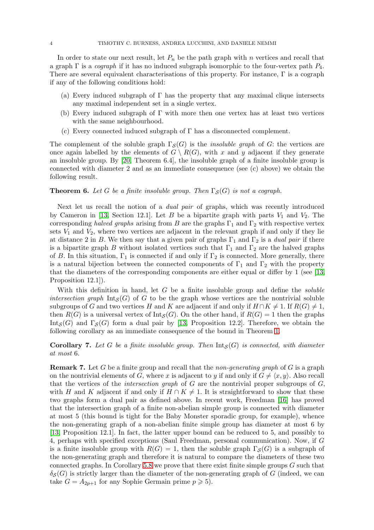In order to state our next result, let  $P_n$  be the path graph with n vertices and recall that a graph Γ is a *cograph* if it has no induced subgraph isomorphic to the four-vertex path P4. There are several equivalent characterisations of this property. For instance, Γ is a cograph if any of the following conditions hold:

- (a) Every induced subgraph of  $\Gamma$  has the property that any maximal clique intersects any maximal independent set in a single vertex.
- (b) Every induced subgraph of  $\Gamma$  with more then one vertex has at least two vertices with the same neighbourhood.
- (c) Every connected induced subgraph of Γ has a disconnected complement.

The complement of the soluble graph  $\Gamma_{\mathcal{S}}(G)$  is the *insoluble graph* of G: the vertices are once again labelled by the elements of  $G \setminus R(G)$ , with x and y adjacent if they generate an insoluble group. By [\[20,](#page-26-2) Theorem 6.4], the insoluble graph of a finite insoluble group is connected with diameter 2 and as an immediate consequence (see (c) above) we obtain the following result.

## **Theorem 6.** Let G be a finite insoluble group. Then  $\Gamma_S(G)$  is not a cograph.

Next let us recall the notion of a *dual pair* of graphs, which was recently introduced by Cameron in [\[13,](#page-26-7) Section 12.1]. Let B be a bipartite graph with parts  $V_1$  and  $V_2$ . The corresponding *halved graphs* arising from B are the graphs  $\Gamma_1$  and  $\Gamma_2$  with respective vertex sets  $V_1$  and  $V_2$ , where two vertices are adjacent in the relevant graph if and only if they lie at distance 2 in B. We then say that a given pair of graphs  $\Gamma_1$  and  $\Gamma_2$  is a *dual pair* if there is a bipartite graph B without isolated vertices such that  $\Gamma_1$  and  $\Gamma_2$  are the halved graphs of B. In this situation,  $\Gamma_1$  is connected if and only if  $\Gamma_2$  is connected. More generally, there is a natural bijection between the connected components of  $\Gamma_1$  and  $\Gamma_2$  with the property that the diameters of the corresponding components are either equal or differ by 1 (see [\[13,](#page-26-7) Proposition 12.1]).

With this definition in hand, let G be a finite insoluble group and define the *soluble intersection graph*  $Int_S(G)$  of G to be the graph whose vertices are the nontrivial soluble subgroups of G and two vertices H and K are adjacent if and only if  $H \cap K \neq 1$ . If  $R(G) \neq 1$ , then  $R(G)$  is a universal vertex of  $\text{Int}_{\mathcal{S}}(G)$ . On the other hand, if  $R(G) = 1$  then the graphs Int<sub>S</sub>(G) and  $\Gamma$ <sub>S</sub>(G) form a dual pair by [\[13,](#page-26-7) Proposition 12.2]. Therefore, we obtain the following corollary as an immediate consequence of the bound in Theorem [1.](#page-1-1)

<span id="page-3-1"></span>**Corollary 7.** Let G be a finite insoluble group. Then  $Int_S(G)$  is connected, with diameter *at most* 6*.*

<span id="page-3-0"></span>Remark 7. Let G be a finite group and recall that the *non-generating graph* of G is a graph on the nontrivial elements of G, where x is adjacent to y if and only if  $G \neq \langle x, y \rangle$ . Also recall that the vertices of the *intersection graph* of G are the nontrivial proper subgroups of G, with H and K adjacent if and only if  $H \cap K \neq 1$ . It is straightforward to show that these two graphs form a dual pair as defined above. In recent work, Freedman [\[16\]](#page-26-8) has proved that the intersection graph of a finite non-abelian simple group is connected with diameter at most 5 (this bound is tight for the Baby Monster sporadic group, for example), whence the non-generating graph of a non-abelian finite simple group has diameter at most 6 by [\[13,](#page-26-7) Proposition 12.1]. In fact, the latter upper bound can be reduced to 5, and possibly to 4, perhaps with specified exceptions (Saul Freedman, personal communication). Now, if G is a finite insoluble group with  $R(G) = 1$ , then the soluble graph  $\Gamma_{\mathcal{S}}(G)$  is a subgraph of the non-generating graph and therefore it is natural to compare the diameters of these two connected graphs. In Corollary [5.8](#page-16-0) we prove that there exist finite simple groups  $G$  such that  $\delta_{\mathcal{S}}(G)$  is strictly larger than the diameter of the non-generating graph of G (indeed, we can take  $G = A_{2p+1}$  for any Sophie Germain prime  $p \ge 5$ .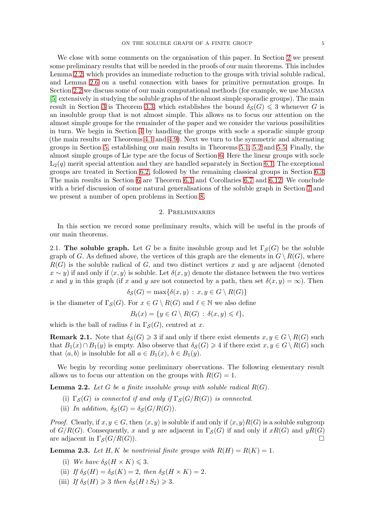We close with some comments on the organisation of this paper. In Section [2](#page-4-0) we present some preliminary results that will be needed in the proofs of our main theorems. This includes Lemma [2.2,](#page-4-1) which provides an immediate reduction to the groups with trivial soluble radical, and Lemma [2.6](#page-5-0) on a useful connection with bases for primitive permutation groups. In Section [2.2](#page-6-0) we discuss some of our main computational methods (for example, we use MAGMA [\[5\]](#page-26-9) extensively in studying the soluble graphs of the almost simple sporadic groups). The main result in Section [3](#page-7-0) is Theorem [3.3,](#page-7-1) which establishes the bound  $\delta_S(G) \leq 3$  whenever G is an insoluble group that is not almost simple. This allows us to focus our attention on the almost simple groups for the remainder of the paper and we consider the various possibilities in turn. We begin in Section [4](#page-9-1) by handling the groups with socle a sporadic simple group (the main results are Theorems [4.1](#page-9-2) and [4.9\)](#page-11-0). Next we turn to the symmetric and alternating groups in Section [5,](#page-12-0) establishing our main results in Theorems [5.1,](#page-12-1) [5.2](#page-13-0) and [5.5.](#page-14-0) Finally, the almost simple groups of Lie type are the focus of Section [6.](#page-16-1) Here the linear groups with socle  $L_2(q)$  merit special attention and they are handled separately in Section [6.1.](#page-16-2) The exceptional groups are treated in Section [6.2,](#page-17-0) followed by the remaining classical groups in Section [6.3.](#page-19-0) The main results in Section [6](#page-16-1) are Theorem [6.1](#page-16-3) and Corollaries [6.7](#page-18-0) and [6.12.](#page-21-0) We conclude with a brief discussion of some natural generalisations of the soluble graph in Section [7](#page-22-1) and we present a number of open problems in Section [8.](#page-25-0)

### 2. Preliminaries

<span id="page-4-0"></span>In this section we record some preliminary results, which will be useful in the proofs of our main theorems.

2.1. The soluble graph. Let G be a finite insoluble group and let  $\Gamma_{\mathcal{S}}(G)$  be the soluble graph of G. As defined above, the vertices of this graph are the elements in  $G \setminus R(G)$ , where  $R(G)$  is the soluble radical of G, and two distinct vertices x and y are adjacent (denoted  $x \sim y$ ) if and only if  $\langle x, y \rangle$  is soluble. Let  $\delta(x, y)$  denote the distance between the two vertices x and y in this graph (if x and y are not connected by a path, then set  $\delta(x, y) = \infty$ ). Then

$$
\delta_{\mathcal{S}}(G) = \max\{\delta(x, y) : x, y \in G \setminus R(G)\}\
$$

is the diameter of  $\Gamma_{\mathcal{S}}(G)$ . For  $x \in G \setminus R(G)$  and  $\ell \in \mathbb{N}$  we also define

$$
B_{\ell}(x) = \{ y \in G \setminus R(G) : \delta(x, y) \leq \ell \},\
$$

which is the ball of radius  $\ell$  in  $\Gamma_{\mathcal{S}}(G)$ , centred at x.

**Remark 2.1.** Note that  $\delta_{\mathcal{S}}(G) \geq 3$  if and only if there exist elements  $x, y \in G \setminus R(G)$  such that  $B_1(x) \cap B_1(y)$  is empty. Also observe that  $\delta_{\mathcal{S}}(G) \geq 4$  if there exist  $x, y \in G \setminus R(G)$  such that  $\langle a, b \rangle$  is insoluble for all  $a \in B_1(x)$ ,  $b \in B_1(y)$ .

We begin by recording some preliminary observations. The following elementary result allows us to focus our attention on the groups with  $R(G) = 1$ .

<span id="page-4-1"></span>**Lemma 2.2.** Let G be a finite insoluble group with soluble radical  $R(G)$ .

- (i)  $\Gamma_S(G)$  *is connected if and only if*  $\Gamma_S(G/R(G))$  *is connected.*
- (ii) *In addition,*  $\delta_{\mathcal{S}}(G) = \delta_{\mathcal{S}}(G/R(G)).$

*Proof.* Clearly, if  $x, y \in G$ , then  $\langle x, y \rangle$  is soluble if and only if  $\langle x, y \rangle R(G)$  is a soluble subgroup of  $G/R(G)$ . Consequently, x and y are adjacent in  $\Gamma_S(G)$  if and only if  $xR(G)$  and  $yR(G)$ are adjacent in  $\Gamma_{\mathcal{S}}(G/R(G)).$ 

<span id="page-4-2"></span>**Lemma 2.3.** Let H, K be nontrivial finite groups with  $R(H) = R(K) = 1$ .

- (i) We have  $\delta_{\mathcal{S}}(H \times K) \leq 3$ .
- (ii) *If*  $\delta_{\mathcal{S}}(H) = \delta_{\mathcal{S}}(K) = 2$ *, then*  $\delta_{\mathcal{S}}(H \times K) = 2$ *.*
- (iii) *If*  $\delta_S(H) \geq 3$  *then*  $\delta_S(H \setminus S_2) \geq 3$ *.*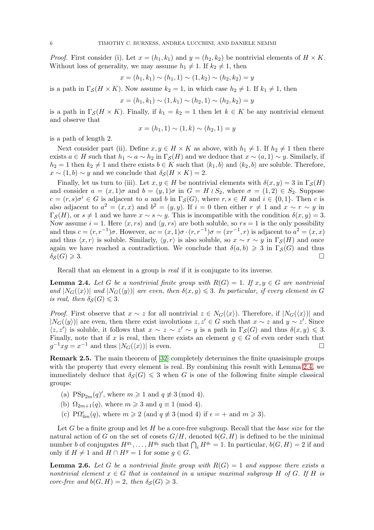*Proof.* First consider (i). Let  $x = (h_1, k_1)$  and  $y = (h_2, k_2)$  be nontrivial elements of  $H \times K$ . Without loss of generality, we may assume  $h_1 \neq 1$ . If  $k_2 \neq 1$ , then

$$
x = (h_1, k_1) \sim (h_1, 1) \sim (1, k_2) \sim (h_2, k_2) = y
$$

is a path in  $\Gamma_{\mathcal{S}}(H \times K)$ . Now assume  $k_2 = 1$ , in which case  $h_2 \neq 1$ . If  $k_1 \neq 1$ , then

$$
x = (h_1, k_1) \sim (1, k_1) \sim (h_2, 1) \sim (h_2, k_2) = y
$$

is a path in  $\Gamma_{\mathcal{S}}(H \times K)$ . Finally, if  $k_1 = k_2 = 1$  then let  $k \in K$  be any nontrivial element and observe that

$$
x = (h_1, 1) \sim (1, k) \sim (h_2, 1) = y
$$

is a path of length 2.

Next consider part (ii). Define  $x, y \in H \times K$  as above, with  $h_1 \neq 1$ . If  $h_2 \neq 1$  then there exists  $a \in H$  such that  $h_1 \sim a \sim h_2$  in  $\Gamma_{\mathcal{S}}(H)$  and we deduce that  $x \sim (a, 1) \sim y$ . Similarly, if  $h_2 = 1$  then  $k_2 \neq 1$  and there exists  $b \in K$  such that  $\langle k_1, b \rangle$  and  $\langle k_2, b \rangle$  are soluble. Therefore,  $x \sim (1, b) \sim y$  and we conclude that  $\delta_{\mathcal{S}}(H \times K) = 2$ .

Finally, let us turn to (iii). Let  $x, y \in H$  be nontrivial elements with  $\delta(x, y) = 3$  in  $\Gamma_{\mathcal{S}}(H)$ and consider  $a = (x, 1)\sigma$  and  $b = (y, 1)\sigma$  in  $G = H \wr S_2$ , where  $\sigma = (1, 2) \in S_2$ . Suppose  $c = (r, s) \sigma^i \in G$  is adjacent to a and b in  $\Gamma_{\mathcal{S}}(G)$ , where  $r, s \in H$  and  $i \in \{0, 1\}$ . Then c is also adjacent to  $a^2 = (x, x)$  and  $b^2 = (y, y)$ . If  $i = 0$  then either  $r \neq 1$  and  $x \sim r \sim y$  in  $\Gamma_{\mathcal{S}}(H)$ , or  $s \neq 1$  and we have  $x \sim s \sim y$ . This is incompatible with the condition  $\delta(x, y) = 3$ . Now assume  $i = 1$ . Here  $\langle x, rs \rangle$  and  $\langle y, rs \rangle$  are both soluble, so  $rs = 1$  is the only possibility and thus  $c = (r, r^{-1})\sigma$ . However,  $ac = (x, 1)\sigma \cdot (r, r^{-1})\sigma = (xr^{-1}, r)$  is adjacent to  $a^2 = (x, x)$ and thus  $\langle x, r \rangle$  is soluble. Similarly,  $\langle y, r \rangle$  is also soluble, so  $x \sim r \sim y$  in  $\Gamma_{\mathcal{S}}(H)$  and once again we have reached a contradiction. We conclude that  $\delta(a, b) \geq 3$  in  $\Gamma_{\mathcal{S}}(G)$  and thus  $\delta_{\mathcal{S}}(G) \geqslant 3.$ 

Recall that an element in a group is *real* if it is conjugate to its inverse.

<span id="page-5-1"></span>**Lemma 2.4.** Let G be a nontrivial finite group with  $R(G) = 1$ . If  $x, y \in G$  are nontrivial *and*  $|N_G(\langle x \rangle)|$  *and*  $|N_G(\langle y \rangle)|$  *are even, then*  $\delta(x, y) \leq 3$ *. In particular, if every element in* G *is real, then*  $\delta_S(G) \leq 3$ *.* 

*Proof.* First observe that  $x \sim z$  for all nontrivial  $z \in N_G(\langle x \rangle)$ . Therefore, if  $|N_G(\langle x \rangle)|$  and  $|N_G(\langle y \rangle)|$  are even, then there exist involutions  $z, z' \in G$  such that  $x \sim z$  and  $y \sim z'$ . Since  $\langle z, z' \rangle$  is soluble, it follows that  $x \sim z \sim z' \sim y$  is a path in  $\Gamma_{\mathcal{S}}(G)$  and thus  $\delta(x, y) \leq 3$ . Finally, note that if x is real, then there exists an element  $g \in G$  of even order such that  $g^{-1}xg = x^{-1}$  and thus  $|N_G(\langle x \rangle)|$  is even.

Remark 2.5. The main theorem of [\[32\]](#page-27-5) completely determines the finite quasisimple groups with the property that every element is real. By combining this result with Lemma [2.4,](#page-5-1) we immediately deduce that  $\delta_{\mathcal{S}}(G) \leq 3$  when G is one of the following finite simple classical groups:

- (a)  $PSp_{2m}(q)$ , where  $m \geq 1$  and  $q \not\equiv 3 \pmod{4}$ .
- (b)  $\Omega_{2m+1}(q)$ , where  $m \geq 3$  and  $q \equiv 1 \pmod{4}$ .
- (c) P $\Omega_{4m}^{\epsilon}(q)$ , where  $m \geq 2$  (and  $q \not\equiv 3 \pmod{4}$  if  $\epsilon = +$  and  $m \geq 3$ ).

Let G be a finite group and let H be a core-free subgroup. Recall that the *base size* for the natural action of G on the set of cosets  $G/H$ , denoted  $b(G, H)$  is defined to be the minimal number b of conjugates  $H^{g_1}, \ldots, H^{g_b}$  such that  $\bigcap_i H^{g_i} = 1$ . In particular,  $b(G, H) = 2$  if and only if  $H \neq 1$  and  $H \cap H<sup>g</sup> = 1$  for some  $g \in G$ .

<span id="page-5-0"></span>**Lemma 2.6.** Let G be a nontrivial finite group with  $R(G) = 1$  and suppose there exists a *nontrivial element*  $x \in G$  *that is contained in a unique maximal subgroup* H *of* G. If H *is core-free and*  $b(G, H) = 2$ *, then*  $\delta_S(G) \geq 3$ *.*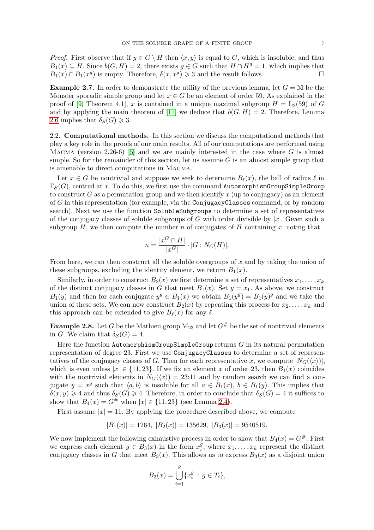*Proof.* First observe that if  $y \in G \setminus H$  then  $\langle x, y \rangle$  is equal to G, which is insoluble, and thus  $B_1(x) \subseteq H$ . Since  $b(G, H) = 2$ , there exists  $q \in G$  such that  $H \cap H^g = 1$ , which implies that  $B_1(x) \cap B_1(x^g)$  is empty. Therefore,  $\delta(x, x^g) \geq 3$  and the result follows.

**Example 2.7.** In order to demonstrate the utility of the previous lemma, let  $G = M$  be the Monster sporadic simple group and let  $x \in G$  be an element of order 59. As explained in the proof of [\[9,](#page-26-10) Theorem 4.1], x is contained in a unique maximal subgroup  $H = L_2(59)$  of G and by applying the main theorem of [\[11\]](#page-26-11) we deduce that  $b(G, H) = 2$ . Therefore, Lemma [2.6](#page-5-0) implies that  $\delta_{\mathcal{S}}(G) \geq 3$ .

<span id="page-6-0"></span>2.2. Computational methods. In this section we discuss the computational methods that play a key role in the proofs of our main results. All of our computations are performed using MAGMA (version 2.26-6) [\[5\]](#page-26-9) and we are mainly interested in the case where  $G$  is almost simple. So for the remainder of this section, let us assume  $G$  is an almost simple group that is amenable to direct computations in Magma.

Let  $x \in G$  be nontrivial and suppose we seek to determine  $B_{\ell}(x)$ , the ball of radius  $\ell$  in  $\Gamma_{\mathcal{S}}(G)$ , centred at x. To do this, we first use the command AutomorphismGroupSimpleGroup to construct G as a permutation group and we then identify x (up to conjugacy) as an element of G in this representation (for example, via the ConjugacyClasses command, or by random search). Next we use the function SolubleSubgroups to determine a set of representatives of the conjugacy classes of soluble subgroups of G with order divisible by  $|x|$ . Given such a subgroup  $H$ , we then compute the number n of conjugates of H containing x, noting that

$$
n = \frac{|x^G \cap H|}{|x^G|} \cdot |G:N_G(H)|.
$$

From here, we can then construct all the soluble overgroups of  $x$  and by taking the union of these subgroups, excluding the identity element, we return  $B_1(x)$ .

Similarly, in order to construct  $B_2(x)$  we first determine a set of representatives  $x_1, \ldots, x_k$ of the distinct conjugacy classes in G that meet  $B_1(x)$ . Set  $y = x_1$ . As above, we construct  $B_1(y)$  and then for each conjugate  $y^g \in B_1(x)$  we obtain  $B_1(y^g) = B_1(y)^g$  and we take the union of these sets. We can now construct  $B_2(x)$  by repeating this process for  $x_2, \ldots, x_k$  and this approach can be extended to give  $B_{\ell}(x)$  for any  $\ell$ .

<span id="page-6-1"></span>**Example 2.8.** Let G be the Mathieu group  $M_{23}$  and let  $G^{\#}$  be the set of nontrivial elements in G. We claim that  $\delta_S(G) = 4$ .

Here the function  $\texttt{AutomorphismGroupSimpleGroup}$  returns  $G$  in its natural permutation representation of degree 23. First we use ConjugacyClasses to determine a set of representatives of the conjugacy classes of G. Then for each representative x, we compute  $|N_G(\langle x \rangle)|$ , which is even unless  $|x| \in \{11, 23\}$ . If we fix an element x of order 23, then  $B_1(x)$  coincides with the nontrivial elements in  $N_G(\langle x \rangle) = 23:11$  and by random search we can find a conjugate  $y = x^g$  such that  $\langle a, b \rangle$  is insoluble for all  $a \in B_1(x)$ ,  $b \in B_1(y)$ . This implies that  $\delta(x, y) \geq 4$  and thus  $\delta_{\mathcal{S}}(G) \geq 4$ . Therefore, in order to conclude that  $\delta_{\mathcal{S}}(G) = 4$  it suffices to show that  $B_4(x) = G^{\#}$  when  $|x| \in \{11, 23\}$  (see Lemma [2.4\)](#page-5-1).

First assume  $|x| = 11$ . By applying the procedure described above, we compute

$$
|B_1(x)| = 1264, |B_2(x)| = 135629, |B_3(x)| = 9540519.
$$

We now implement the following exhaustive process in order to show that  $B_4(x) = G^{\#}$ . First we express each element  $y \in B_3(x)$  in the form  $x_i^g$  $i<sup>g</sup>$ , where  $x_1, \ldots, x_k$  represent the distinct conjugacy classes in G that meet  $B_3(x)$ . This allows us to express  $B_3(x)$  as a disjoint union

$$
B_3(x) = \bigcup_{i=1}^k \{x_i^g : g \in T_i\},\
$$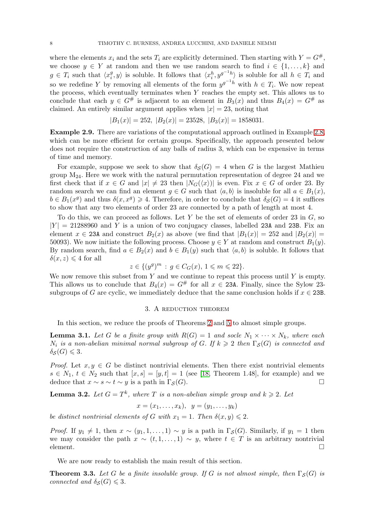where the elements  $x_i$  and the sets  $T_i$  are explicitly determined. Then starting with  $Y = G^{\#}$ , we choose  $y \in Y$  at random and then we use random search to find  $i \in \{1, \ldots, k\}$  and  $g \in T_i$  such that  $\langle x_i^g \rangle$  $\langle y_i^g, y \rangle$  is soluble. It follows that  $\langle x_i^h, y^{g^{-1}h} \rangle$  is soluble for all  $h \in T_i$  and so we redefine Y by removing all elements of the form  $y^{g^{-1}h}$  with  $h \in T_i$ . We now repeat the process, which eventually terminates when  $Y$  reaches the empty set. This allows us to conclude that each  $y \in G^{\#}$  is adjacent to an element in  $B_3(x)$  and thus  $B_4(x) = G^{\#}$  as claimed. An entirely similar argument applies when  $|x| = 23$ , noting that

$$
|B_1(x)| = 252, |B_2(x)| = 23528, |B_3(x)| = 1858031.
$$

<span id="page-7-4"></span>Example 2.9. There are variations of the computational approach outlined in Example [2.8,](#page-6-1) which can be more efficient for certain groups. Specifically, the approach presented below does not require the construction of any balls of radius 3, which can be expensive in terms of time and memory.

For example, suppose we seek to show that  $\delta_{\mathcal{S}}(G) = 4$  when G is the largest Mathieu group  $M_{24}$ . Here we work with the natural permutation representation of degree 24 and we first check that if  $x \in G$  and  $|x| \neq 23$  then  $|N_G(\langle x \rangle)|$  is even. Fix  $x \in G$  of order 23. By random search we can find an element  $q \in G$  such that  $\langle a, b \rangle$  is insoluble for all  $a \in B_1(x)$ ,  $b \in B_1(x^g)$  and thus  $\delta(x, x^g) \geq 4$ . Therefore, in order to conclude that  $\delta_{\mathcal{S}}(G) = 4$  it suffices to show that any two elements of order 23 are connected by a path of length at most 4.

To do this, we can proceed as follows. Let Y be the set of elements of order 23 in  $G$ , so  $|Y| = 21288960$  and Y is a union of two conjugacy classes, labelled 23A and 23B. Fix an element  $x \in 23A$  and construct  $B_2(x)$  as above (we find that  $|B_1(x)| = 252$  and  $|B_2(x)| =$ 50093). We now initiate the following process. Choose  $y \in Y$  at random and construct  $B_1(y)$ . By random search, find  $a \in B_2(x)$  and  $b \in B_1(y)$  such that  $\langle a, b \rangle$  is soluble. It follows that  $\delta(x, z) \leq 4$  for all

$$
z \in \{ (y^g)^m \, : \, g \in C_G(x), \, 1 \leqslant m \leqslant 22 \}.
$$

<span id="page-7-0"></span>We now remove this subset from  $Y$  and we continue to repeat this process until  $Y$  is empty. This allows us to conclude that  $B_4(x) = G^{\#}$  for all  $x \in 23$ A. Finally, since the Sylow 23subgroups of G are cyclic, we immediately deduce that the same conclusion holds if  $x \in 23B$ .

### 3. A reduction theorem

In this section, we reduce the proofs of Theorems [2](#page-1-0) and [5](#page-2-0) to almost simple groups.

<span id="page-7-2"></span>**Lemma 3.1.** Let G be a finite group with  $R(G) = 1$  and socle  $N_1 \times \cdots \times N_k$ , where each  $N_i$  is a non-abelian minimal normal subgroup of G. If  $k \geq 2$  then  $\Gamma_{\mathcal{S}}(G)$  is connected and  $\delta_{\mathcal{S}}(G) \leqslant 3.$ 

*Proof.* Let  $x, y \in G$  be distinct nontrivial elements. Then there exist nontrivial elements  $s \in N_1$ ,  $t \in N_2$  such that  $[x, s] = [y, t] = 1$  (see [\[18,](#page-26-12) Theorem 1.48], for example) and we deduce that  $x \sim s \sim t \sim y$  is a path in  $\Gamma_S(G)$ .

<span id="page-7-3"></span>**Lemma 3.2.** Let  $G = T^k$ , where T is a non-abelian simple group and  $k \geq 2$ . Let

$$
x=(x_1,\ldots,x_k),\ \ y=(y_1,\ldots,y_k)
$$

*be distinct nontrivial elements of* G *with*  $x_1 = 1$ *. Then*  $\delta(x, y) \leq 2$ *.* 

*Proof.* If  $y_1 \neq 1$ , then  $x \sim (y_1, 1, \ldots, 1) \sim y$  is a path in  $\Gamma_{\mathcal{S}}(G)$ . Similarly, if  $y_1 = 1$  then we may consider the path  $x \sim (t, 1, \ldots, 1) \sim y$ , where  $t \in T$  is an arbitrary nontrivial element.  $\Box$ 

We are now ready to establish the main result of this section.

<span id="page-7-1"></span>**Theorem 3.3.** Let G be a finite insoluble group. If G is not almost simple, then  $\Gamma_S(G)$  is *connected and*  $\delta_S(G) \leq 3$ *.*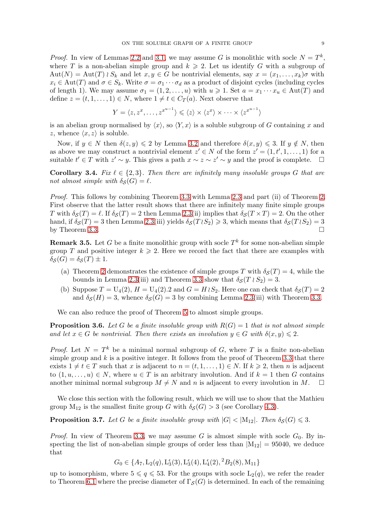*Proof.* In view of Lemmas [2.2](#page-4-1) and [3.1,](#page-7-2) we may assume G is monolithic with socle  $N = T<sup>k</sup>$ , where T is a non-abelian simple group and  $k \geq 2$ . Let us identify G with a subgroup of  $Aut(N) = Aut(T) \wr S_k$  and let  $x, y \in G$  be nontrivial elements, say  $x = (x_1, \ldots, x_k)\sigma$  with  $x_i \in \text{Aut}(T)$  and  $\sigma \in S_k$ . Write  $\sigma = \sigma_1 \cdots \sigma_d$  as a product of disjoint cycles (including cycles of length 1). We may assume  $\sigma_1 = (1, 2, \ldots, u)$  with  $u \geq 1$ . Set  $a = x_1 \cdots x_u \in \text{Aut}(T)$  and define  $z = (t, 1, \ldots, 1) \in N$ , where  $1 \neq t \in C_T(a)$ . Next observe that

$$
Y = \langle z, z^x, \dots, z^{x^{u-1}} \rangle \leq \langle z \rangle \times \langle z^x \rangle \times \dots \times \langle z^{x^{u-1}} \rangle
$$

is an abelian group normalised by  $\langle x \rangle$ , so  $\langle Y, x \rangle$  is a soluble subgroup of G containing x and z, whence  $\langle x, z \rangle$  is soluble.

Now, if  $y \in N$  then  $\delta(z, y) \leq 2$  by Lemma [3.2](#page-7-3) and therefore  $\delta(x, y) \leq 3$ . If  $y \notin N$ , then as above we may construct a nontrivial element  $z' \in N$  of the form  $z' = (1, t', 1, \ldots, 1)$  for a suitable  $t' \in T$  with  $z' \sim y$ . This gives a path  $x \sim z \sim z' \sim y$  and the proof is complete.  $\Box$ 

<span id="page-8-0"></span>**Corollary 3.4.** Fix  $\ell \in \{2,3\}$ . Then there are infinitely many insoluble groups G that are *not almost simple with*  $\delta_{\mathcal{S}}(G) = \ell$ .

*Proof.* This follows by combining Theorem [3.3](#page-7-1) with Lemma [2.3](#page-4-2) and part (ii) of Theorem [2.](#page-1-0) First observe that the latter result shows that there are infinitely many finite simple groups T with  $\delta_S(T) = \ell$ . If  $\delta_S(T) = 2$  then Lemma [2.3\(](#page-4-2)ii) implies that  $\delta_S(T \times T) = 2$ . On the other hand, if  $\delta_{\mathcal{S}}(T) = 3$  then Lemma [2.3\(](#page-4-2)iii) yields  $\delta_{\mathcal{S}}(T \wr S_2) \geq 3$ , which means that  $\delta_{\mathcal{S}}(T \wr S_2) = 3$ by Theorem [3.3.](#page-7-1)

**Remark 3.5.** Let G be a finite monolithic group with socle  $T^k$  for some non-abelian simple group T and positive integer  $k \geq 2$ . Here we record the fact that there are examples with  $\delta_{\mathcal{S}}(G) = \delta_{\mathcal{S}}(T) \pm 1.$ 

- (a) Theorem [2](#page-1-0) demonstrates the existence of simple groups T with  $\delta_{\mathcal{S}}(T) = 4$ , while the bounds in Lemma [2.3\(](#page-4-2)iii) and Theorem [3.3](#page-7-1) show that  $\delta_{\mathcal{S}}(T \wr S_2) = 3$ .
- (b) Suppose  $T = U_4(2)$ ,  $H = U_4(2)$ . and  $G = H \wr S_2$ . Here one can check that  $\delta_S(T) = 2$ and  $\delta_{\mathcal{S}}(H) = 3$ , whence  $\delta_{\mathcal{S}}(G) = 3$  by combining Lemma [2.3\(](#page-4-2)iii) with Theorem [3.3.](#page-7-1)

We can also reduce the proof of Theorem [5](#page-2-0) to almost simple groups.

**Proposition 3.6.** Let G be a finite insoluble group with  $R(G) = 1$  that is not almost simple *and let*  $x \in G$  *be nontrivial. Then there exists an involution*  $y \in G$  *with*  $\delta(x, y) \leq 2$ *.* 

*Proof.* Let  $N = T^k$  be a minimal normal subgroup of G, where T is a finite non-abelian simple group and  $k$  is a positive integer. It follows from the proof of Theorem [3.3](#page-7-1) that there exists  $1 \neq t \in T$  such that x is adjacent to  $n = (t, 1, \ldots, 1) \in N$ . If  $k \geq 2$ , then n is adjacent to  $(1, u, \ldots, u) \in N$ , where  $u \in T$  is an arbitrary involution. And if  $k = 1$  then G contains another minimal normal subgroup  $M \neq N$  and n is adjacent to every involution in M.  $\square$ 

We close this section with the following result, which we will use to show that the Mathieu group  $M_{12}$  is the smallest finite group G with  $\delta_{\mathcal{S}}(G) > 3$  (see Corollary [4.3\)](#page-9-0).

<span id="page-8-1"></span>**Proposition 3.7.** Let G be a finite insoluble group with  $|G| < |M_{12}|$ . Then  $\delta_{\mathcal{S}}(G) \leq 3$ .

*Proof.* In view of Theorem [3.3,](#page-7-1) we may assume G is almost simple with socle  $G_0$ . By inspecting the list of non-abelian simple groups of order less than  $|M_{12}| = 95040$ , we deduce that

 $G_0 \in \{A_7, L_2(q), L_3^{\epsilon}(3), L_3^{\epsilon}(4), L_4^{\epsilon}(2), {}^2B_2(8), M_{11}\}\$ 

up to isomorphism, where  $5 \leq q \leq 53$ . For the groups with socle  $L_2(q)$ , we refer the reader to Theorem [6.1](#page-16-3) where the precise diameter of  $\Gamma_S(G)$  is determined. In each of the remaining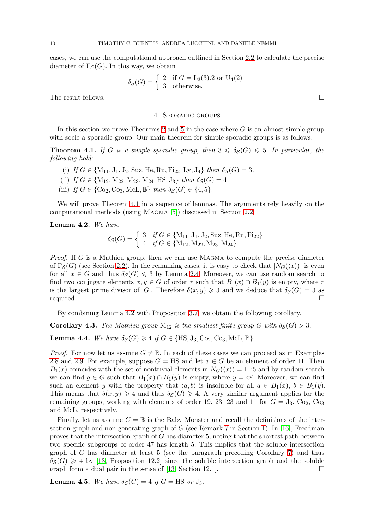cases, we can use the computational approach outlined in Section [2.2](#page-6-0) to calculate the precise diameter of  $\Gamma_{\mathcal{S}}(G)$ . In this way, we obtain

$$
\delta_{\mathcal{S}}(G) = \begin{cases} 2 & \text{if } G = \text{L}_3(3).2 \text{ or } \text{U}_4(2) \\ 3 & \text{otherwise.} \end{cases}
$$

<span id="page-9-1"></span>The result follows.  $\Box$ 

## 4. Sporadic groups

In this section we prove Theorems [2](#page-1-0) and [5](#page-2-0) in the case where  $G$  is an almost simple group with socle a sporadic group. Our main theorem for simple sporadic groups is as follows.

<span id="page-9-2"></span>**Theorem 4.1.** If G is a simple sporadic group, then  $3 \leq \delta_S(G) \leq 5$ . In particular, the *following hold:*

- (i) *If*  $G \in \{M_{11}, J_1, J_2, Suz, He, Ru, Fi_{22}, Ly, J_4\}$  *then*  $\delta_{\mathcal{S}}(G) = 3$ *.*
- (ii) *If*  $G \in \{M_{12}, M_{22}, M_{23}, M_{24}, HS, J_3\}$  *then*  $\delta_{\mathcal{S}}(G) = 4$ *.*
- (iii) *If*  $G \in \{ \text{Co}_2, \text{Co}_3, \text{McL}, \mathbb{B} \}$  *then*  $\delta_S(G) \in \{4, 5\}.$

We will prove Theorem [4.1](#page-9-2) in a sequence of lemmas. The arguments rely heavily on the computational methods (using Magma [\[5\]](#page-26-9)) discussed in Section [2.2.](#page-6-0)

<span id="page-9-3"></span>Lemma 4.2. *We have*

$$
\delta_{\mathcal{S}}(G) = \begin{cases} 3 & \text{if } G \in \{M_{11}, J_1, J_2, \text{Suz}, \text{He}, \text{Ru}, \text{Fi}_{22}\} \\ 4 & \text{if } G \in \{M_{12}, M_{22}, M_{23}, M_{24}\}. \end{cases}
$$

*Proof.* If G is a Mathieu group, then we can use MAGMA to compute the precise diameter of  $\Gamma_{\mathcal{S}}(G)$  (see Section [2.2\)](#page-6-0). In the remaining cases, it is easy to check that  $|N_G(\langle x \rangle)|$  is even for all  $x \in G$  and thus  $\delta_{\mathcal{S}}(G) \leq 3$  by Lemma [2.4.](#page-5-1) Moreover, we can use random search to find two conjugate elements  $x, y \in G$  of order r such that  $B_1(x) \cap B_1(y)$  is empty, where r is the largest prime divisor of |G|. Therefore  $\delta(x, y) \geq 3$  and we deduce that  $\delta_{\mathcal{S}}(G) = 3$  as required.  $\square$ 

By combining Lemma [4.2](#page-9-3) with Proposition [3.7,](#page-8-1) we obtain the following corollary.

<span id="page-9-0"></span>**Corollary 4.3.** *The Mathieu group*  $M_{12}$  *is the smallest finite group* G *with*  $\delta_S(G) > 3$ *.* 

<span id="page-9-4"></span>**Lemma 4.4.** *We have*  $\delta_{\mathcal{S}}(G) \geq 4$  *if*  $G \in \{HS, J_3, Co_2, Co_3, McC., \mathbb{B}\}.$ 

*Proof.* For now let us assume  $G \neq \mathbb{B}$ . In each of these cases we can proceed as in Examples [2.8](#page-6-1) and [2.9.](#page-7-4) For example, suppose  $G = HS$  and let  $x \in G$  be an element of order 11. Then  $B_1(x)$  coincides with the set of nontrivial elements in  $N_G(\langle x \rangle) = 11:5$  and by random search we can find  $g \in G$  such that  $B_1(x) \cap B_1(y)$  is empty, where  $y = x^g$ . Moreover, we can find such an element y with the property that  $\langle a, b \rangle$  is insoluble for all  $a \in B_1(x)$ ,  $b \in B_1(y)$ . This means that  $\delta(x, y) \geq 4$  and thus  $\delta(\mathcal{S}) \geq 4$ . A very similar argument applies for the remaining groups, working with elements of order 19, 23, 23 and 11 for  $G = J_3$ ,  $Co_2$ ,  $Co_3$ and McL, respectively.

Finally, let us assume  $G = \mathbb{B}$  is the Baby Monster and recall the definitions of the intersection graph and non-generating graph of  $G$  (see Remark [7](#page-3-0) in Section [1\)](#page-0-0). In [\[16\]](#page-26-8), Freedman proves that the intersection graph of  $G$  has diameter 5, noting that the shortest path between two specific subgroups of order 47 has length 5. This implies that the soluble intersection graph of G has diameter at least 5 (see the paragraph preceding Corollary [7\)](#page-3-1) and thus  $\delta_S(G) \geq 4$  by [\[13,](#page-26-7) Proposition 12.2] since the soluble intersection graph and the soluble graph form a dual pair in the sense of [\[13,](#page-26-7) Section 12.1].  $\Box$ 

**Lemma 4.5.** We have  $\delta_S(G) = 4$  if  $G = \text{HS}$  or  $J_3$ .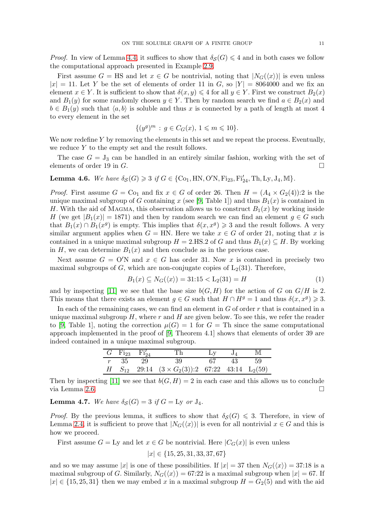*Proof.* In view of Lemma [4.4,](#page-9-4) it suffices to show that  $\delta_S(G) \leq 4$  and in both cases we follow the computational approach presented in Example [2.9.](#page-7-4)

First assume  $G = HS$  and let  $x \in G$  be nontrivial, noting that  $|N_G(\langle x \rangle)|$  is even unless  $|x| = 11$ . Let Y be the set of elements of order 11 in G, so  $|Y| = 8064000$  and we fix an element  $x \in Y$ . It is sufficient to show that  $\delta(x, y) \leq 4$  for all  $y \in Y$ . First we construct  $B_2(x)$ and  $B_1(y)$  for some randomly chosen  $y \in Y$ . Then by random search we find  $a \in B_2(x)$  and  $b \in B_1(y)$  such that  $\langle a, b \rangle$  is soluble and thus x is connected by a path of length at most 4 to every element in the set

$$
\{(y^g)^m : g \in C_G(x), \, 1 \leqslant m \leqslant 10\}.
$$

We now redefine Y by removing the elements in this set and we repeat the process. Eventually, we reduce  $Y$  to the empty set and the result follows.

The case  $G = J_3$  can be handled in an entirely similar fashion, working with the set of elements of order 19 in  $G$ .

<span id="page-10-1"></span>Lemma 4.6. *We have*  $\delta_{\mathcal{S}}(G) \geq 3$  *if*  $G \in \{ \text{Co}_1, \text{HN}, \text{O/N}, \text{Fi}_{23}, \text{Fi}'_{24}, \text{Th}, \text{Ly}, \text{J}_4, \text{MI} \}.$ 

*Proof.* First assume  $G = \text{Co}_1$  and fix  $x \in G$  of order 26. Then  $H = (A_4 \times G_2(4))$ :2 is the unique maximal subgroup of G containing x (see [\[9,](#page-26-10) Table 1]) and thus  $B_1(x)$  is contained in H. With the aid of MAGMA, this observation allows us to construct  $B_1(x)$  by working inside H (we get  $|B_1(x)| = 1871$ ) and then by random search we can find an element  $g \in G$  such that  $B_1(x) \cap B_1(x^g)$  is empty. This implies that  $\delta(x, x^g) \geq 3$  and the result follows. A very similar argument applies when  $G = HN$ . Here we take  $x \in G$  of order 21, noting that x is contained in a unique maximal subgroup  $H = 2.HS.2$  of G and thus  $B_1(x) \subseteq H$ . By working in H, we can determine  $B_1(x)$  and then conclude as in the previous case.

Next assume  $G = O'N$  and  $x \in G$  has order 31. Now x is contained in precisely two maximal subgroups of  $G$ , which are non-conjugate copies of  $L_2(31)$ . Therefore,

<span id="page-10-2"></span>
$$
B_1(x) \subseteq N_G(\langle x \rangle) = 31:15 < L_2(31) = H \tag{1}
$$

and by inspecting [\[11\]](#page-26-11) we see that the base size  $b(G, H)$  for the action of G on  $G/H$  is 2. This means that there exists an element  $g \in G$  such that  $H \cap H^g = 1$  and thus  $\delta(x, x^g) \geq 3$ .

In each of the remaining cases, we can find an element in  $G$  of order  $r$  that is contained in a unique maximal subgroup  $H$ , where r and  $H$  are given below. To see this, we refer the reader to [\[9,](#page-26-10) Table 1], noting the correction  $\mu(G) = 1$  for  $G =$  Th since the same computational approach implemented in the proof of [\[9,](#page-26-10) Theorem 4.1] shows that elements of order 39 are indeed contained in a unique maximal subgroup.

|  | $G$ Fi <sub>23</sub> Fi <sub>24</sub> | Th                                                            | $Lv$ $J_4$ |    | M  |
|--|---------------------------------------|---------------------------------------------------------------|------------|----|----|
|  | $r = 35 = 29$                         | 39                                                            | 67         | 43 | 59 |
|  |                                       | H $S_{12}$ 29:14 $(3 \times G_2(3))$ :2 67:22 43:14 $L_2(59)$ |            |    |    |

Then by inspecting [\[11\]](#page-26-11) we see that  $b(G, H) = 2$  in each case and this allows us to conclude via Lemma [2.6.](#page-5-0)

<span id="page-10-0"></span>**Lemma 4.7.** *We have*  $\delta_{\mathcal{S}}(G) = 3$  *if*  $G = Ly \text{ or } J_4$ *.* 

*Proof.* By the previous lemma, it suffices to show that  $\delta_S(G) \leq 3$ . Therefore, in view of Lemma [2.4,](#page-5-1) it is sufficient to prove that  $|N_G(\langle x \rangle)|$  is even for all nontrivial  $x \in G$  and this is how we proceed.

First assume  $G = Ly$  and let  $x \in G$  be nontrivial. Here  $|C_G(x)|$  is even unless

 $|x| \in \{15, 25, 31, 33, 37, 67\}$ 

and so we may assume |x| is one of these possibilities. If  $|x| = 37$  then  $N_G(\langle x \rangle) = 37:18$  is a maximal subgroup of G. Similarly,  $N_G(\langle x \rangle) = 67:22$  is a maximal subgroup when  $|x| = 67$ . If  $|x| \in \{15, 25, 31\}$  then we may embed x in a maximal subgroup  $H = G_2(5)$  and with the aid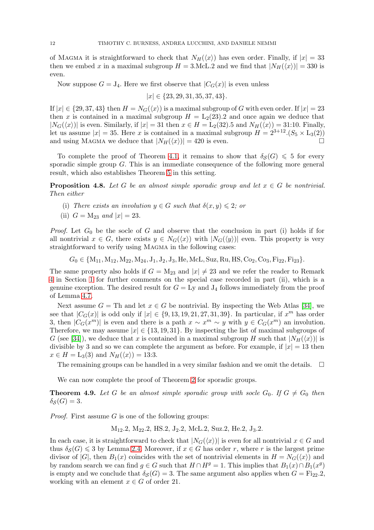of MAGMA it is straightforward to check that  $N_H(\langle x \rangle)$  has even order. Finally, if  $|x| = 33$ then we embed x in a maximal subgroup  $H = 3$ . McL. 2 and we find that  $|N_H(\langle x \rangle)| = 330$  is even.

Now suppose  $G = J_4$ . Here we first observe that  $|C_G(x)|$  is even unless

$$
|x| \in \{23, 29, 31, 35, 37, 43\}.
$$

If  $|x| \in \{29, 37, 43\}$  then  $H = N_G(\langle x \rangle)$  is a maximal subgroup of G with even order. If  $|x| = 23$ then x is contained in a maximal subgroup  $H = L_2(23)$ . 2 and once again we deduce that  $|N_G(\langle x \rangle)|$  is even. Similarly, if  $|x| = 31$  then  $x \in H = L_2(32)$ .5 and  $N_H(\langle x \rangle) = 31:10$ . Finally, let us assume  $|x| = 35$ . Here x is contained in a maximal subgroup  $H = 2^{3+12} (S_5 \times L_3(2))$ and using MAGMA we deduce that  $|N_H(\langle x \rangle)| = 420$  is even.

To complete the proof of Theorem [4.1,](#page-9-2) it remains to show that  $\delta_S(G) \leq 5$  for every sporadic simple group G. This is an immediate consequence of the following more general result, which also establishes Theorem [5](#page-2-0) in this setting.

**Proposition 4.8.** Let G be an almost simple sporadic group and let  $x \in G$  be nontrivial. *Then either*

- (i) *There exists an involution*  $y \in G$  *such that*  $\delta(x, y) \leq 2$ *; or*
- (ii)  $G = M_{23}$  *and*  $|x| = 23$ .

*Proof.* Let  $G_0$  be the socle of G and observe that the conclusion in part (i) holds if for all nontrivial  $x \in G$ , there exists  $y \in N_G(\langle x \rangle)$  with  $|N_G(\langle y \rangle)|$  even. This property is very straightforward to verify using MAGMA in the following cases:

 $G_0 \in \{M_{11}, M_{12}, M_{22}, M_{24}, J_1, J_2, J_3, He, McL, Suz, Ru, HS, Co_2, Co_3, Fi_{22}, Fi_{23}\}.$ 

The same property also holds if  $G = M_{23}$  and  $|x| \neq 23$  and we refer the reader to Remark [4](#page-2-1) in Section [1](#page-0-0) for further comments on the special case recorded in part (ii), which is a genuine exception. The desired result for  $G = Ly$  and  $J_4$  follows immediately from the proof of Lemma [4.7.](#page-10-0)

Next assume  $G = Th$  and let  $x \in G$  be nontrivial. By inspecting the Web Atlas [\[34\]](#page-27-6), we see that  $|C_G(x)|$  is odd only if  $|x| \in \{9, 13, 19, 21, 27, 31, 39\}$ . In particular, if  $x^m$  has order 3, then  $|C_G(x^m)|$  is even and there is a path  $x \sim x^m \sim y$  with  $y \in C_G(x^m)$  an involution. Therefore, we may assume  $|x| \in \{13, 19, 31\}$ . By inspecting the list of maximal subgroups of G (see [\[34\]](#page-27-6)), we deduce that x is contained in a maximal subgroup H such that  $|N_H(\langle x \rangle)|$  is divisible by 3 and so we can complete the argument as before. For example, if  $|x| = 13$  then  $x \in H = \mathrm{L}_3(3)$  and  $N_H(\langle x \rangle) = 13:3$ .

The remaining groups can be handled in a very similar fashion and we omit the details.  $\Box$ 

We can now complete the proof of Theorem [2](#page-1-0) for sporadic groups.

<span id="page-11-0"></span>**Theorem 4.9.** Let G be an almost simple sporadic group with socle  $G_0$ . If  $G \neq G_0$  then  $\delta_S(G) = 3.$ 

*Proof.* First assume  $G$  is one of the following groups:

 $M_{12}.2$ ,  $M_{22}.2$ , HS.2, J<sub>2</sub>.2, McL.2, Suz.2, He.2, J<sub>3</sub>.2.

In each case, it is straightforward to check that  $|N_G(\langle x \rangle)|$  is even for all nontrivial  $x \in G$  and thus  $\delta_{\mathcal{S}}(G) \leq 3$  by Lemma [2.4.](#page-5-1) Moreover, if  $x \in G$  has order r, where r is the largest prime divisor of  $|G|$ , then  $B_1(x)$  coincides with the set of nontrivial elements in  $H = N_G(\langle x \rangle)$  and by random search we can find  $g \in G$  such that  $H \cap H^g = 1$ . This implies that  $B_1(x) \cap B_1(x^g)$ is empty and we conclude that  $\delta_{\mathcal{S}}(G) = 3$ . The same argument also applies when  $G = \mathrm{Fi}_{22}.2$ , working with an element  $x \in G$  of order 21.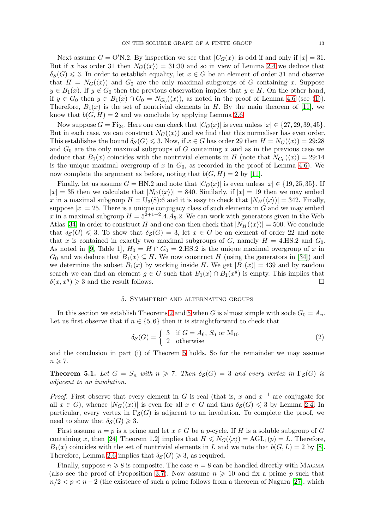Next assume  $G = O'N.2$ . By inspection we see that  $|C_G(x)|$  is odd if and only if  $|x| = 31$ . But if x has order 31 then  $N_G(\langle x \rangle) = 31:30$  and so in view of Lemma [2.4](#page-5-1) we deduce that  $\delta_{\mathcal{S}}(G) \leq 3$ . In order to establish equality, let  $x \in G$  be an element of order 31 and observe that  $H = N_G(\langle x \rangle)$  and  $G_0$  are the only maximal subgroups of G containing x. Suppose  $y \in B_1(x)$ . If  $y \notin G_0$  then the previous observation implies that  $y \in H$ . On the other hand, if  $y \in G_0$  then  $y \in B_1(x) \cap G_0 = N_{G_0}(\langle x \rangle)$ , as noted in the proof of Lemma [4.6](#page-10-1) (see [\(1\)](#page-10-2)). Therefore,  $B_1(x)$  is the set of nontrivial elements in H. By the main theorem of [\[11\]](#page-26-11), we know that  $b(G, H) = 2$  and we conclude by applying Lemma [2.6.](#page-5-0)

Now suppose  $G = \text{Fi}_{24}$ . Here one can check that  $|C_G(x)|$  is even unless  $|x| \in \{27, 29, 39, 45\}$ . But in each case, we can construct  $N_G(\langle x \rangle)$  and we find that this normaliser has even order. This establishes the bound  $\delta_{\mathcal{S}}(G) \leq 3$ . Now, if  $x \in G$  has order 29 then  $H = N_G(\langle x \rangle) = 29.28$ and  $G_0$  are the only maximal subgroups of G containing x and as in the previous case we deduce that  $B_1(x)$  coincides with the nontrivial elements in H (note that  $N_{G_0}(\langle x \rangle) = 29:14$ is the unique maximal overgroup of x in  $G_0$ , as recorded in the proof of Lemma [4.6\)](#page-10-1). We now complete the argument as before, noting that  $b(G, H) = 2$  by [\[11\]](#page-26-11).

Finally, let us assume  $G = HN.2$  and note that  $|C_G(x)|$  is even unless  $|x| \in \{19, 25, 35\}$ . If  $|x| = 35$  then we calculate that  $|N_G(\langle x \rangle)| = 840$ . Similarly, if  $|x| = 19$  then we may embed x in a maximal subgroup  $H = U_3(8)$ :6 and it is easy to check that  $|N_H(\langle x \rangle)| = 342$ . Finally, suppose  $|x| = 25$ . There is a unique conjugacy class of such elements in G and we may embed x in a maximal subgroup  $H = 5^{2+1+2} \cdot 4 \cdot A_5 \cdot 2$ . We can work with generators given in the Web Atlas [\[34\]](#page-27-6) in order to construct H and one can then check that  $|N_H(\langle x \rangle)| = 500$ . We conclude that  $\delta_S(G) \leq 3$ . To show that  $\delta_S(G) = 3$ , let  $x \in G$  be an element of order 22 and note that x is contained in exactly two maximal subgroups of G, namely  $H = 4.HS.2$  and  $G_0$ . As noted in [\[9,](#page-26-10) Table 1],  $H_0 = H \cap G_0 = 2.HS.2$  is the unique maximal overgroup of x in  $G_0$  and we deduce that  $B_1(x) \subseteq H$ . We now construct H (using the generators in [\[34\]](#page-27-6)) and we determine the subset  $B_1(x)$  by working inside H. We get  $|B_1(x)| = 439$  and by random search we can find an element  $g \in G$  such that  $B_1(x) \cap B_1(x^g)$  is empty. This implies that  $\delta(x, x^g) \geq 3$  and the result follows.

#### 5. Symmetric and alternating groups

<span id="page-12-0"></span>In this section we establish Theorems [2](#page-1-0) and [5](#page-2-0) when G is almost simple with socle  $G_0 = A_n$ . Let us first observe that if  $n \in \{5, 6\}$  then it is straightforward to check that

<span id="page-12-2"></span>
$$
\delta_{\mathcal{S}}(G) = \begin{cases} 3 & \text{if } G = A_6, S_6 \text{ or } \mathcal{M}_{10} \\ 2 & \text{otherwise} \end{cases} \tag{2}
$$

and the conclusion in part (i) of Theorem [5](#page-2-0) holds. So for the remainder we may assume  $n \geqslant 7$ .

<span id="page-12-1"></span>**Theorem 5.1.** Let  $G = S_n$  with  $n \ge 7$ . Then  $\delta_S(G) = 3$  and every vertex in  $\Gamma_S(G)$  is *adjacent to an involution.*

*Proof.* First observe that every element in G is real (that is, x and  $x^{-1}$  are conjugate for all  $x \in G$ , whence  $|N_G(\langle x \rangle)|$  is even for all  $x \in G$  and thus  $\delta_S(G) \leq 3$  by Lemma [2.4.](#page-5-1) In particular, every vertex in  $\Gamma_{\mathcal{S}}(G)$  is adjacent to an involution. To complete the proof, we need to show that  $\delta_{\mathcal{S}}(G) \geq 3$ .

First assume  $n = p$  is a prime and let  $x \in G$  be a p-cycle. If H is a soluble subgroup of G containing x, then [\[24,](#page-27-7) Theorem 1.2] implies that  $H \leq N_G(\langle x \rangle) = \text{AGL}_1(p) = L$ . Therefore,  $B_1(x)$  coincides with the set of nontrivial elements in L and we note that  $b(G, L) = 2$  by [\[8\]](#page-26-13). Therefore, Lemma [2.6](#page-5-0) implies that  $\delta_{\mathcal{S}}(G) \geq 3$ , as required.

Finally, suppose  $n \geq 8$  is composite. The case  $n = 8$  can be handled directly with MAGMA (also see the proof of Proposition [3.7\)](#page-8-1). Now assume  $n \geq 10$  and fix a prime p such that  $n/2 < p < n-2$  (the existence of such a prime follows from a theorem of Nagura [\[27\]](#page-27-8), which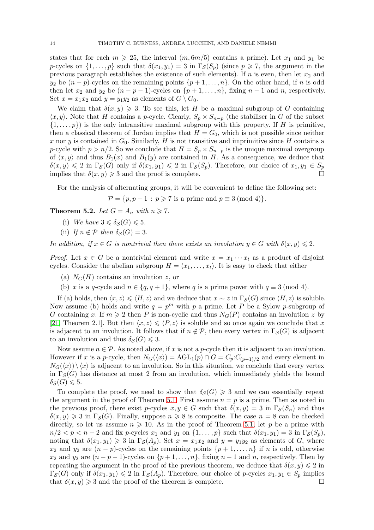states that for each  $m \ge 25$ , the interval  $(m, 6m/5)$  contains a prime). Let  $x_1$  and  $y_1$  be p-cycles on  $\{1,\ldots,p\}$  such that  $\delta(x_1,y_1)=3$  in  $\Gamma_{\mathcal{S}}(S_p)$  (since  $p\geq 7$ , the argument in the previous paragraph establishes the existence of such elements). If n is even, then let  $x_2$  and  $y_2$  be  $(n-p)$ -cycles on the remaining points  $\{p+1,\ldots,n\}$ . On the other hand, if n is odd then let  $x_2$  and  $y_2$  be  $(n - p - 1)$ -cycles on  $\{p + 1, \ldots, n\}$ , fixing  $n - 1$  and n, respectively. Set  $x = x_1x_2$  and  $y = y_1y_2$  as elements of  $G \setminus G_0$ .

We claim that  $\delta(x, y) \geq 3$ . To see this, let H be a maximal subgroup of G containing  $\langle x, y \rangle$ . Note that H contains a p-cycle. Clearly,  $S_p \times S_{n-p}$  (the stabiliser in G of the subset  $\{1,\ldots,p\}$  is the only intransitive maximal subgroup with this property. If H is primitive, then a classical theorem of Jordan implies that  $H = G_0$ , which is not possible since neither x nor y is contained in  $G_0$ . Similarly, H is not transitive and imprimitive since H contains a p-cycle with  $p > n/2$ . So we conclude that  $H = S_p \times S_{n-p}$  is the unique maximal overgroup of  $\langle x, y \rangle$  and thus  $B_1(x)$  and  $B_1(y)$  are contained in H. As a consequence, we deduce that  $\delta(x, y) \leq 2$  in  $\Gamma_{\mathcal{S}}(G)$  only if  $\delta(x_1, y_1) \leq 2$  in  $\Gamma_{\mathcal{S}}(S_p)$ . Therefore, our choice of  $x_1, y_1 \in S_p$ implies that  $\delta(x, y) \geq 3$  and the proof is complete.

For the analysis of alternating groups, it will be convenient to define the following set:

 $\mathcal{P} = \{p, p+1 : p \geqslant 7 \text{ is a prime and } p \equiv 3 \pmod{4}\}.$ 

<span id="page-13-0"></span>**Theorem 5.2.** *Let*  $G = A_n$  *with*  $n \ge 7$ *.* 

- (i) We have  $3 \leq \delta_{\mathcal{S}}(G) \leq 5$ .
- (ii) *If*  $n \notin \mathcal{P}$  *then*  $\delta_{\mathcal{S}}(G) = 3$ .

*In addition, if*  $x \in G$  *is nontrivial then there exists an involution*  $y \in G$  *with*  $\delta(x, y) \leq 2$ *.* 

*Proof.* Let  $x \in G$  be a nontrivial element and write  $x = x_1 \cdots x_t$  as a product of disjoint cycles. Consider the abelian subgroup  $H = \langle x_1, \ldots, x_t \rangle$ . It is easy to check that either

- (a)  $N_G(H)$  contains an involution z, or
- (b) x is a q-cycle and  $n \in \{q, q+1\}$ , where q is a prime power with  $q \equiv 3 \pmod{4}$ .

If (a) holds, then  $\langle x, z \rangle \leq \langle H, z \rangle$  and we deduce that  $x \sim z$  in  $\Gamma_S(G)$  since  $\langle H, z \rangle$  is soluble. Now assume (b) holds and write  $q = p^m$  with p a prime. Let P be a Sylow p-subgroup of G containing x. If  $m \geq 2$  then P is non-cyclic and thus  $N_G(P)$  contains an involution z by [\[21,](#page-26-14) Theorem 2.1]. But then  $\langle x, z \rangle \leq \langle P, z \rangle$  is soluble and so once again we conclude that x is adjacent to an involution. It follows that if  $n \notin \mathcal{P}$ , then every vertex in  $\Gamma_{\mathcal{S}}(G)$  is adjacent to an involution and thus  $\delta_S(G) \leq 3$ .

Now assume  $n \in \mathcal{P}$ . As noted above, if x is not a p-cycle then it is adjacent to an involution. However if x is a p-cycle, then  $N_G(\langle x \rangle) = \text{AGL}_1(p) \cap G = C_p:C_{(p-1)/2}$  and every element in  $N_G(\langle x \rangle) \setminus \langle x \rangle$  is adjacent to an involution. So in this situation, we conclude that every vertex in  $\Gamma_{\mathcal{S}}(G)$  has distance at most 2 from an involution, which immediately yields the bound  $\delta_{\mathcal{S}}(G) \leqslant 5.$ 

To complete the proof, we need to show that  $\delta_S(G) \geq 3$  and we can essentially repeat the argument in the proof of Theorem [5.1.](#page-12-1) First assume  $n = p$  is a prime. Then as noted in the previous proof, there exist p-cycles  $x, y \in G$  such that  $\delta(x, y) = 3$  in  $\Gamma_{\mathcal{S}}(S_n)$  and thus  $\delta(x, y) \geq 3$  in  $\Gamma_S(G)$ . Finally, suppose  $n \geq 8$  is composite. The case  $n = 8$  can be checked directly, so let us assume  $n \geqslant 10$ . As in the proof of Theorem [5.1,](#page-12-1) let p be a prime with  $n/2 < p < n-2$  and fix p-cycles  $x_1$  and  $y_1$  on  $\{1,\ldots,p\}$  such that  $\delta(x_1,y_1) = 3$  in  $\Gamma_{\mathcal{S}}(S_p)$ , noting that  $\delta(x_1, y_1) \geq 3$  in  $\Gamma_{\mathcal{S}}(A_p)$ . Set  $x = x_1x_2$  and  $y = y_1y_2$  as elements of G, where  $x_2$  and  $y_2$  are  $(n-p)$ -cycles on the remaining points  $\{p+1,\ldots,n\}$  if n is odd, otherwise  $x_2$  and  $y_2$  are  $(n-p-1)$ -cycles on  $\{p+1,\ldots,n\}$ , fixing  $n-1$  and n, respectively. Then by repeating the argument in the proof of the previous theorem, we deduce that  $\delta(x, y) \leq 2$  in  $\Gamma_{\mathcal{S}}(G)$  only if  $\delta(x_1, y_1) \leq 2$  in  $\Gamma_{\mathcal{S}}(A_p)$ . Therefore, our choice of p-cycles  $x_1, y_1 \in S_p$  implies that  $\delta(x, y) \geqslant 3$  and the proof of the theorem is complete.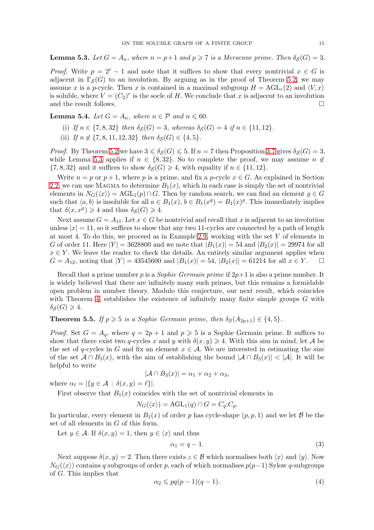<span id="page-14-1"></span>**Lemma 5.3.** Let  $G = A_n$ , where  $n = p+1$  and  $p \ge 7$  is a Mersenne prime. Then  $\delta_S(G) = 3$ .

*Proof.* Write  $p = 2^r - 1$  and note that it suffices to show that every nontrivial  $x \in G$  is adjacent in  $\Gamma_{\mathcal{S}}(G)$  to an involution. By arguing as in the proof of Theorem [5.2,](#page-13-0) we may assume x is a p-cycle. Then x is contained in a maximal subgroup  $H = \text{AGL}_r(2)$  and  $\langle V, x \rangle$ is soluble, where  $V = (C_2)^r$  is the socle of H. We conclude that x is adjacent to an involution and the result follows.  $\Box$ 

**Lemma 5.4.** *Let*  $G = A_n$ *, where*  $n \in \mathcal{P}$  *and*  $n \leq 60$ *.* 

- (i) *If*  $n \in \{7, 8, 32\}$  *then*  $\delta_S(G) = 3$ *, whereas*  $\delta_S(G) = 4$  *if*  $n \in \{11, 12\}$ *.*
- (ii) *If*  $n \notin \{7, 8, 11, 12, 32\}$  *then*  $\delta_S(G) \in \{4, 5\}.$

*Proof.* By Theorem [5.2](#page-13-0) we have  $3 \le \delta_S(G) \le 5$ . If  $n = 7$  then Proposition [3.7](#page-8-1) gives  $\delta_S(G) = 3$ , while Lemma [5.3](#page-14-1) applies if  $n \in \{8, 32\}$ . So to complete the proof, we may assume  $n \notin$  $\{7, 8, 32\}$  and it suffices to show  $\delta_{\mathcal{S}}(G) \geq 4$ , with equality if  $n \in \{11, 12\}$ .

Write  $n = p$  or  $p + 1$ , where p is a prime, and fix a p-cycle  $x \in G$ . As explained in Section [2.2,](#page-6-0) we can use MAGMA to determine  $B_1(x)$ , which in each case is simply the set of nontrivial elements in  $N_G(\langle x \rangle) = \text{AGL}_1(p) \cap G$ . Then by random search, we can find an element  $g \in G$ such that  $\langle a, b \rangle$  is insoluble for all  $a \in B_1(x)$ ,  $b \in B_1(x^g) = B_1(x)^g$ . This immediately implies that  $\delta(x, x^g) \geq 4$  and thus  $\delta_{\mathcal{S}}(G) \geq 4$ .

Next assume  $G = A_{11}$ . Let  $x \in G$  be nontrivial and recall that x is adjacent to an involution unless  $|x| = 11$ , so it suffices to show that any two 11-cycles are connected by a path of length at most 4. To do this, we proceed as in Example [2.9,](#page-7-4) working with the set Y of elements in G of order 11. Here  $|Y| = 3628800$  and we note that  $|B_1(x)| = 54$  and  $|B_2(x)| = 29974$  for all  $x \in Y$ . We leave the reader to check the details. An entirely similar argument applies when  $G = A_{12}$ , noting that  $|Y| = 43545600$  and  $|B_1(x)| = 54$ ,  $|B_2(x)| = 61214$  for all  $x \in Y$ .  $\Box$ 

Recall that a prime number p is a *Sophie Germain prime* if 2p+1 is also a prime number. It is widely believed that there are infinitely many such primes, but this remains a formidable open problem in number theory. Modulo this conjecture, our next result, which coincides with Theorem [4,](#page-2-2) establishes the existence of infinitely many finite simple groups  $G$  with  $\delta_{\mathcal{S}}(G) \geq 4.$ 

<span id="page-14-0"></span>**Theorem 5.5.** *If*  $p \ge 5$  *is a Sophie Germain prime, then*  $\delta_S(A_{2p+1}) \in \{4, 5\}$ *.* 

*Proof.* Set  $G = A_q$ , where  $q = 2p + 1$  and  $p \ge 5$  is a Sophie Germain prime. It suffices to show that there exist two q-cycles x and y with  $\delta(x, y) \geq 4$ . With this aim in mind, let A be the set of q-cycles in G and fix an element  $x \in A$ . We are interested in estimating the size of the set  $A \cap B_3(x)$ , with the aim of establishing the bound  $|A \cap B_3(x)| < |A|$ . It will be helpful to write

$$
|\mathcal{A} \cap B_3(x)| = \alpha_1 + \alpha_2 + \alpha_3,
$$

where  $\alpha_{\ell} = |\{y \in \mathcal{A} : \delta(x, y) = \ell\}|.$ 

First observe that  $B_1(x)$  coincides with the set of nontrivial elements in

$$
N_G(\langle x \rangle) = \text{AGL}_1(q) \cap G = C_q : C_p.
$$

In particular, every element in  $B_1(x)$  of order p has cycle-shape  $(p, p, 1)$  and we let B be the set of all elements in G of this form.

Let  $y \in \mathcal{A}$ . If  $\delta(x, y) = 1$ , then  $y \in \langle x \rangle$  and thus

<span id="page-14-2"></span>
$$
\alpha_1 = q - 1.\tag{3}
$$

Next suppose  $\delta(x, y) = 2$ . Then there exists  $z \in \mathcal{B}$  which normalises both  $\langle x \rangle$  and  $\langle y \rangle$ . Now  $N_G(\langle x \rangle)$  contains q subgroups of order p, each of which normalises  $p(p-1)$  Sylow q-subgroups of G. This implies that

<span id="page-14-3"></span>
$$
\alpha_2 \leqslant pq(p-1)(q-1). \tag{4}
$$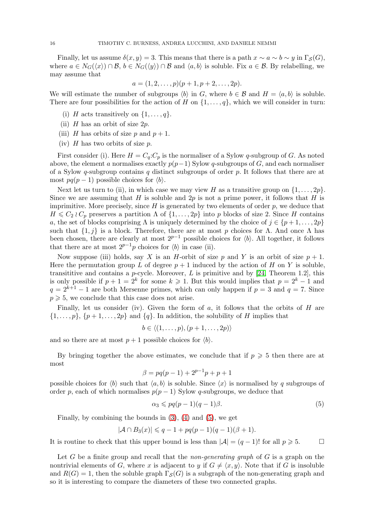Finally, let us assume  $\delta(x, y) = 3$ . This means that there is a path  $x \sim a \sim b \sim y$  in  $\Gamma_{\mathcal{S}}(G)$ , where  $a \in N_G(\langle x \rangle) \cap \mathcal{B}, b \in N_G(\langle y \rangle) \cap \mathcal{B}$  and  $\langle a, b \rangle$  is soluble. Fix  $a \in \mathcal{B}$ . By relabelling, we may assume that

$$
a = (1, 2, \dots, p)(p + 1, p + 2, \dots, 2p).
$$

We will estimate the number of subgroups  $\langle b \rangle$  in G, where  $b \in \mathcal{B}$  and  $H = \langle a, b \rangle$  is soluble. There are four possibilities for the action of H on  $\{1,\ldots,q\}$ , which we will consider in turn:

- (i) H acts transitively on  $\{1, \ldots, q\}$ .
- (ii)  $H$  has an orbit of size  $2p$ .
- (iii) H has orbits of size p and  $p + 1$ .
- (iv)  $H$  has two orbits of size  $p$ .

First consider (i). Here  $H = C_q$ :  $C_p$  is the normaliser of a Sylow q-subgroup of G. As noted above, the element a normalises exactly  $p(p-1)$  Sylow q-subgroups of G, and each normaliser of a Sylow q-subgroup contains q distinct subgroups of order  $p$ . It follows that there are at most  $pq(p-1)$  possible choices for  $\langle b \rangle$ .

Next let us turn to (ii), in which case we may view H as a transitive group on  $\{1, \ldots, 2p\}$ . Since we are assuming that H is soluble and  $2p$  is not a prime power, it follows that H is imprimitive. More precisely, since  $H$  is generated by two elements of order  $p$ , we deduce that  $H \leq C_2 \wr C_p$  preserves a partition  $\Lambda$  of  $\{1, \ldots, 2p\}$  into p blocks of size 2. Since H contains a, the set of blocks comprising  $\Lambda$  is uniquely determined by the choice of  $j \in \{p+1,\ldots,2p\}$ such that  $\{1, j\}$  is a block. Therefore, there are at most p choices for  $\Lambda$ . And once  $\Lambda$  has been chosen, there are clearly at most  $2^{p-1}$  possible choices for  $\langle b \rangle$ . All together, it follows that there are at most  $2^{p-1}p$  choices for  $\langle b \rangle$  in case (ii).

Now suppose (iii) holds, say X is an H-orbit of size p and Y is an orbit of size  $p + 1$ . Here the permutation group L of degree  $p + 1$  induced by the action of H on Y is soluble, transititive and contains a *p*-cycle. Moreover, L is primitive and by [\[24,](#page-27-7) Theorem 1.2], this is only possible if  $p + 1 = 2<sup>k</sup>$  for some  $k \ge 1$ . But this would implies that  $p = 2<sup>k</sup> - 1$  and  $q = 2^{k+1} - 1$  are both Mersenne primes, which can only happen if  $p = 3$  and  $q = 7$ . Since  $p \geqslant 5$ , we conclude that this case does not arise.

Finally, let us consider (iv). Given the form of  $a$ , it follows that the orbits of  $H$  are  $\{1,\ldots,p\},\{p+1,\ldots,2p\}$  and  $\{q\}.$  In addition, the solubility of H implies that

$$
b\in \langle (1,\ldots,p),(p+1,\ldots,2p)\rangle
$$

and so there are at most  $p + 1$  possible choices for  $\langle b \rangle$ .

By bringing together the above estimates, we conclude that if  $p \geqslant 5$  then there are at most

$$
\beta = pq(p-1) + 2^{p-1}p + p + 1
$$

possible choices for  $\langle b \rangle$  such that  $\langle a, b \rangle$  is soluble. Since  $\langle x \rangle$  is normalised by q subgroups of order p, each of which normalises  $p(p-1)$  Sylow q-subgroups, we deduce that

<span id="page-15-0"></span>
$$
\alpha_3 \leqslant pq(p-1)(q-1)\beta. \tag{5}
$$

Finally, by combining the bounds in  $(3)$ ,  $(4)$  and  $(5)$ , we get

$$
|\mathcal{A} \cap B_3(x)| \leq q - 1 + pq(p - 1)(q - 1)(\beta + 1).
$$

It is routine to check that this upper bound is less than  $|\mathcal{A}| = (q-1)!$  for all  $p \ge 5$ . □

Let G be a finite group and recall that the *non-generating graph* of G is a graph on the nontrivial elements of G, where x is adjacent to y if  $G \neq \langle x, y \rangle$ . Note that if G is insoluble and  $R(G) = 1$ , then the soluble graph  $\Gamma_{\mathcal{S}}(G)$  is a subgraph of the non-generating graph and so it is interesting to compare the diameters of these two connected graphs.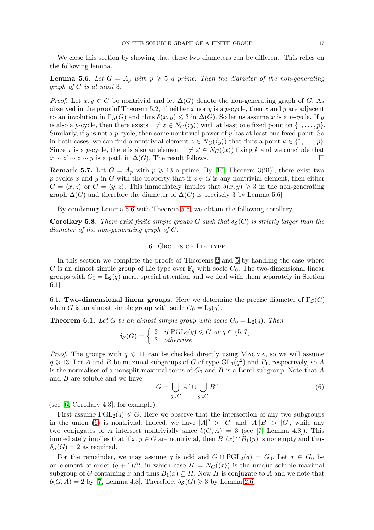We close this section by showing that these two diameters can be different. This relies on the following lemma.

<span id="page-16-4"></span>**Lemma 5.6.** Let  $G = A_p$  with  $p \geq 5$  a prime. Then the diameter of the non-generating *graph of* G *is at most* 3*.*

*Proof.* Let  $x, y \in G$  be nontrivial and let  $\Delta(G)$  denote the non-generating graph of G. As observed in the proof of Theorem [5.2,](#page-13-0) if neither x nor y is a p-cycle, then x and y are adjacent to an involution in  $\Gamma_{\mathcal{S}}(G)$  and thus  $\delta(x, y) \leq 3$  in  $\Delta(G)$ . So let us assume x is a p-cycle. If y is also a p-cycle, then there exists  $1 \neq z \in N_G(\langle y \rangle)$  with at least one fixed point on  $\{1, \ldots, p\}.$ Similarly, if  $y$  is not a  $p$ -cycle, then some nontrivial power of  $y$  has at least one fixed point. So in both cases, we can find a nontrivial element  $z \in N_G(\langle y \rangle)$  that fixes a point  $k \in \{1, \ldots, p\}$ . Since x is a p-cycle, there is also an element  $1 \neq z' \in N_G(\langle x \rangle)$  fixing k and we conclude that  $x \sim z' \sim z \sim y$  is a path in  $\Delta(G)$ . The result follows.

**Remark 5.7.** Let  $G = A_p$  with  $p \ge 13$  a prime. By [\[10,](#page-26-15) Theorem 3(iii)], there exist two p-cycles x and y in G with the property that if  $z \in G$  is any nontrivial element, then either  $G = \langle x, z \rangle$  or  $G = \langle y, z \rangle$ . This immediately implies that  $\delta(x, y) \geq 3$  in the non-generating graph  $\Delta(G)$  and therefore the diameter of  $\Delta(G)$  is precisely 3 by Lemma [5.6.](#page-16-4)

By combining Lemma [5.6](#page-16-4) with Theorem [5.5,](#page-14-0) we obtain the following corollary.

<span id="page-16-1"></span><span id="page-16-0"></span>**Corollary 5.8.** There exist finite simple groups G such that  $\delta_S(G)$  is strictly larger than the *diameter of the non-generating graph of* G*.*

## 6. Groups of Lie type

In this section we complete the proofs of Theorems [2](#page-1-0) and [5](#page-2-0) by handling the case where G is an almost simple group of Lie type over  $\mathbb{F}_q$  with socle  $G_0$ . The two-dimensional linear groups with  $G_0 = L_2(q)$  merit special attention and we deal with them separately in Section [6.1.](#page-16-2)

<span id="page-16-2"></span>6.1. Two-dimensional linear groups. Here we determine the precise diameter of  $\Gamma_{\mathcal{S}}(G)$ when G is an almost simple group with socle  $G_0 = L_2(q)$ .

<span id="page-16-3"></span>**Theorem 6.1.** Let G be an almost simple group with socle  $G_0 = L_2(q)$ . Then

$$
\delta_{\mathcal{S}}(G) = \left\{ \begin{array}{ll} 2 & \text{if } \text{PGL}_2(q) \leq G \text{ or } q \in \{5, 7\} \\ 3 & \text{otherwise.} \end{array} \right.
$$

*Proof.* The groups with  $q \leq 11$  can be checked directly using MAGMA, so we will assume  $q \geq 13$ . Let A and B be maximal subgroups of G of type  $GL_1(q^2)$  and  $P_1$ , respectively, so A is the normaliser of a nonsplit maximal torus of  $G_0$  and B is a Borel subgroup. Note that A and B are soluble and we have

<span id="page-16-5"></span>
$$
G = \bigcup_{g \in G} A^g \cup \bigcup_{g \in G} B^g \tag{6}
$$

(see [\[6,](#page-26-16) Corollary 4.3], for example).

First assume  $PGL_2(q) \leq G$ . Here we observe that the intersection of any two subgroups in the union [\(6\)](#page-16-5) is nontrivial. Indeed, we have  $|A|^2 > |G|$  and  $|A||B| > |G|$ , while any two conjugates of A intersect nontrivially since  $b(G, A) = 3$  (see [\[7,](#page-26-17) Lemma 4.8]). This immediately implies that if  $x, y \in G$  are nontrivial, then  $B_1(x) \cap B_1(y)$  is nonempty and thus  $\delta_{\mathcal{S}}(G) = 2$  as required.

For the remainder, we may assume q is odd and  $G \cap \text{PGL}_2(q) = G_0$ . Let  $x \in G_0$  be an element of order  $(q + 1)/2$ , in which case  $H = N_G(\langle x \rangle)$  is the unique soluble maximal subgroup of G containing x and thus  $B_1(x) \subseteq H$ . Now H is conjugate to A and we note that  $b(G, A) = 2$  by [\[7,](#page-26-17) Lemma 4.8]. Therefore,  $\delta_S(G) \geq 3$  by Lemma [2.6.](#page-5-0)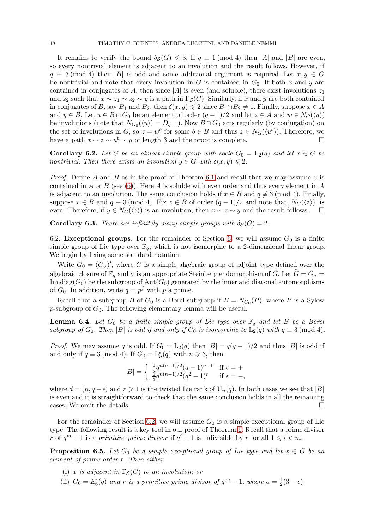It remains to verify the bound  $\delta_S(G) \leq 3$ . If  $q \equiv 1 \pmod{4}$  then |A| and |B| are even, so every nontrivial element is adjacent to an involution and the result follows. However, if  $q \equiv 3 \pmod{4}$  then |B| is odd and some additional argument is required. Let  $x, y \in G$ be nontrivial and note that every involution in G is contained in  $G_0$ . If both x and y are contained in conjugates of A, then since |A| is even (and soluble), there exist involutions  $z_1$ and  $z_2$  such that  $x \sim z_1 \sim z_2 \sim y$  is a path in  $\Gamma_{\mathcal{S}}(G)$ . Similarly, if x and y are both contained in conjugates of B, say  $B_1$  and  $B_2$ , then  $\delta(x, y) \leq 2$  since  $B_1 \cap B_2 \neq 1$ . Finally, suppose  $x \in A$ and  $y \in B$ . Let  $u \in B \cap G_0$  be an element of order  $(q-1)/2$  and let  $z \in A$  and  $w \in N_G(\langle u \rangle)$ be involutions (note that  $N_{G_0}(\langle u \rangle) = D_{q-1}$ ). Now  $B \cap G_0$  acts regularly (by conjugation) on the set of involutions in G, so  $z = w^b$  for some  $b \in B$  and thus  $z \in N_G({\langle w^b \rangle})$ . Therefore, we have a path  $x \sim z \sim u^b \sim y$  of length 3 and the proof is complete.

<span id="page-17-3"></span>**Corollary 6.2.** Let G be an almost simple group with socle  $G_0 = L_2(q)$  and let  $x \in G$  be *nontrivial. Then there exists an involution*  $y \in G$  *with*  $\delta(x, y) \leq 2$ *.* 

*Proof.* Define A and B as in the proof of Theorem [6.1](#page-16-3) and recall that we may assume x is contained in A or B (see [\(6\)](#page-16-5)). Here A is soluble with even order and thus every element in A is adjacent to an involution. The same conclusion holds if  $x \in B$  and  $q \not\equiv 3 \pmod{4}$ . Finally, suppose  $x \in B$  and  $q \equiv 3 \pmod{4}$ . Fix  $z \in B$  of order  $(q-1)/2$  and note that  $|N_G(\langle z \rangle)|$  is even. Therefore, if  $y \in N_G(\langle z \rangle)$  is an involution, then  $x \sim z \sim y$  and the result follows.  $\square$ 

<span id="page-17-0"></span>**Corollary 6.3.** *There are infinitely many simple groups with*  $\delta_S(G) = 2$ *.* 

6.2. Exceptional groups. For the remainder of Section [6,](#page-16-1) we will assume  $G_0$  is a finite simple group of Lie type over  $\mathbb{F}_q$ , which is not isomorphic to a 2-dimensional linear group. We begin by fixing some standard notation.

Write  $G_0 = (\bar{G}_{\sigma})'$ , where  $\bar{G}$  is a simple algebraic group of adjoint type defined over the algebraic closure of  $\mathbb{F}_q$  and  $\sigma$  is an appropriate Steinberg endomorphism of  $\bar{G}$ . Let  $\tilde{G} = \bar{G}_{\sigma}$ Inndiag( $G_0$ ) be the subgroup of  $Aut(G_0)$  generated by the inner and diagonal automorphisms of  $G_0$ . In addition, write  $q = p^f$  with p a prime.

Recall that a subgroup B of  $G_0$  is a Borel subgroup if  $B = N_{G_0}(P)$ , where P is a Sylow p-subgroup of  $G_0$ . The following elementary lemma will be useful.

<span id="page-17-1"></span>**Lemma 6.4.** Let  $G_0$  be a finite simple group of Lie type over  $\mathbb{F}_q$  and let B be a Borel *subgroup of*  $G_0$ *. Then* |B| *is odd if and only if*  $G_0$  *is isomorphic to*  $L_2(q)$  *with*  $q \equiv 3 \pmod{4}$ *.* 

*Proof.* We may assume q is odd. If  $G_0 = L_2(q)$  then  $|B| = q(q-1)/2$  and thus |B| is odd if and only if  $q \equiv 3 \pmod{4}$ . If  $G_0 = \mathcal{L}_n^{\epsilon}(q)$  with  $n \geq 3$ , then

$$
|B| = \begin{cases} \frac{1}{d} q^{n(n-1)/2} (q-1)^{n-1} & \text{if } \epsilon = +\\ \frac{1}{d} q^{n(n-1)/2} (q^2 - 1)^r & \text{if } \epsilon = -, \end{cases}
$$

where  $d = (n, q - \epsilon)$  and  $r \geq 1$  is the twisted Lie rank of  $U_n(q)$ . In both cases we see that  $|B|$ is even and it is straightforward to check that the same conclusion holds in all the remaining cases. We omit the details.  $\Box$ 

For the remainder of Section [6.2,](#page-17-0) we will assume  $G_0$  is a simple exceptional group of Lie type. The following result is a key tool in our proof of Theorem [1.](#page-1-1) Recall that a prime divisor r of  $q^m - 1$  is a *primitive prime divisor* if  $q^i - 1$  is indivisible by r for all  $1 \leq i \leq m$ .

<span id="page-17-2"></span>**Proposition 6.5.** Let  $G_0$  be a simple exceptional group of Lie type and let  $x \in G$  be an *element of prime order* r*. Then either*

- (i) x *is adjacent in*  $\Gamma_S(G)$  *to an involution; or*
- (ii)  $G_0 = E_6^{\epsilon}(q)$  and r is a primitive prime divisor of  $q^{9a} 1$ , where  $a = \frac{1}{2}$  $rac{1}{2}(3-\epsilon).$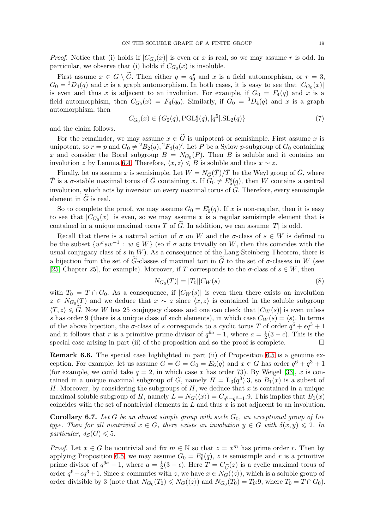*Proof.* Notice that (i) holds if  $|C_{G_0}(x)|$  is even or x is real, so we may assume r is odd. In particular, we observe that (i) holds if  $C_{G_0}(x)$  is insoluble.

First assume  $x \in G \setminus \tilde{G}$ . Then either  $q = q_0^r$  and x is a field automorphism, or  $r = 3$ ,  $G_0 = {}^3D_4(q)$  and x is a graph automorphism. In both cases, it is easy to see that  $|C_{G_0}(x)|$ is even and thus x is adjacent to an involution. For example, if  $G_0 = F_4(q)$  and x is a field automorphism, then  $C_{G_0}(x) = F_4(q_0)$ . Similarly, if  $G_0 = {}^3D_4(q)$  and x is a graph automorphism, then

<span id="page-18-1"></span>
$$
C_{G_0}(x) \in \{G_2(q), PGL_3^{\epsilon}(q), [q^5].\text{SL}_2(q)\}\tag{7}
$$

and the claim follows.

For the remainder, we may assume  $x \in \tilde{G}$  is unipotent or semisimple. First assume x is unipotent, so  $r = p$  and  $G_0 \neq {}^2B_2(q), {}^2F_4(q)$ . Let P be a Sylow p-subgroup of  $G_0$  containing x and consider the Borel subgroup  $B = N_{G_0}(P)$ . Then B is soluble and it contains an involution z by Lemma [6.4.](#page-17-1) Therefore,  $\langle x, z \rangle \leq B$  is soluble and thus  $x \sim z$ .

Finally, let us assume x is semisimple. Let  $W = N_{\bar{G}}(\bar{T})/\bar{T}$  be the Weyl group of  $\bar{G}$ , where  $\overline{T}$  is a  $\sigma$ -stable maximal torus of  $\overline{G}$  containing x. If  $\overline{G}_0 \neq E_6^{\epsilon}(q)$ , then W contains a central involution, which acts by inversion on every maximal torus of  $\tilde{G}$ . Therefore, every semisimple element in  $\tilde{G}$  is real.

So to complete the proof, we may assume  $G_0 = E_6^{\epsilon}(q)$ . If x is non-regular, then it is easy to see that  $|C_{G_0}(x)|$  is even, so we may assume x is a regular semisimple element that is contained in a unique maximal torus T of  $\tilde{G}$ . In addition, we can assume |T| is odd.

Recall that there is a natural action of  $\sigma$  on W and the  $\sigma$ -class of  $s \in W$  is defined to be the subset  $\{w^{\sigma}sw^{-1} : w \in W\}$  (so if  $\sigma$  acts trivially on W, then this coincides with the usual conjugacy class of  $s$  in  $W$ ). As a consequence of the Lang-Steinberg Theorem, there is a bijection from the set of  $\tilde{G}$ -classes of maximal tori in  $\tilde{G}$  to the set of  $\sigma$ -classes in W (see [\[25,](#page-27-9) Chapter 25], for example). Moreover, if T corresponds to the  $\sigma$ -class of  $s \in W$ , then

<span id="page-18-2"></span>
$$
|N_{G_0}(T)| = |T_0||C_W(s)|\tag{8}
$$

with  $T_0 = T \cap G_0$ . As a consequence, if  $|C_W(s)|$  is even then there exists an involution  $z \in N_{G_0}(T)$  and we deduce that  $x \sim z$  since  $\langle x, z \rangle$  is contained in the soluble subgroup  $\langle T, z \rangle \leq G$ . Now W has 25 conjugacy classes and one can check that  $|C_W(s)|$  is even unless s has order 9 (there is a unique class of such elements), in which case  $C_W(s) = \langle s \rangle$ . In terms of the above bijection, the  $\sigma$ -class of s corresponds to a cyclic torus T of order  $q^6 + \epsilon q^3 + 1$ and it follows that r is a primitive prime divisor of  $q^{9a} - 1$ , where  $a = \frac{1}{2}(3 - \epsilon)$ . This is the special case arising in part (ii) of the proposition and so the proof is complete.  $\Box$ 

Remark 6.6. The special case highlighted in part (ii) of Proposition [6.5](#page-17-2) is a genuine exception. For example, let us assume  $G = \tilde{G} = G_0 = E_6(q)$  and  $x \in G$  has order  $q^6 + q^3 + 1$ (for example, we could take  $q = 2$ , in which case x has order 73). By Weigel [\[33\]](#page-27-10), x is contained in a unique maximal subgroup of G, namely  $H = L_3(q^3)$ . So  $B_1(x)$  is a subset of H. Moreover, by considering the subgroups of  $H$ , we deduce that  $x$  is contained in a unique maximal soluble subgroup of H, namely  $L = N_G(\langle x \rangle) = C_{q^6+q^3+1}$ :9. This implies that  $B_1(x)$ coincides with the set of nontrivial elements in  $L$  and thus  $x$  is not adjacent to an involution.

<span id="page-18-0"></span>**Corollary 6.7.** Let G be an almost simple group with socle  $G_0$ , an exceptional group of Lie *type. Then for all nontrivial*  $x \in G$ , there exists an involution  $y \in G$  with  $\delta(x, y) \leq 2$ . In *particular,*  $\delta_{\mathcal{S}}(G) \leq 5$ *.* 

*Proof.* Let  $x \in G$  be nontrivial and fix  $m \in \mathbb{N}$  so that  $z = x^m$  has prime order r. Then by applying Proposition [6.5,](#page-17-2) we may assume  $G_0 = E_6^{\epsilon}(q)$ , z is semisimple and r is a primitive prime divisor of  $q^{9a} - 1$ , where  $a = \frac{1}{2}$  $\frac{1}{2}(3 - \epsilon)$ . Here  $T = C_{\widetilde{G}}(z)$  is a cyclic maximal torus of order  $q^6 + \epsilon q^3 + 1$ . Since x commutes with z, we have  $x \in N_G(\langle z \rangle)$ , which is a soluble group of order divisible by 3 (note that  $N_{G_0}(T_0) \le N_G(\langle z \rangle)$  and  $N_{G_0}(T_0) = T_0:9$ , where  $T_0 = T \cap G_0$ ).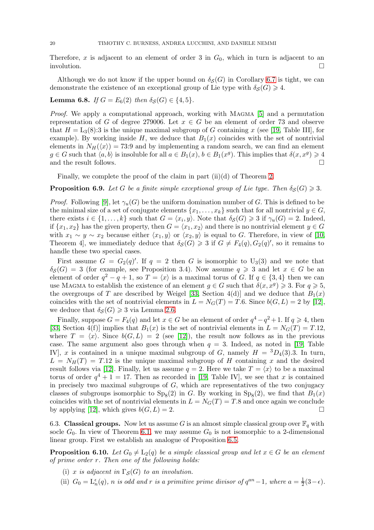Therefore, x is adjacent to an element of order 3 in  $G_0$ , which in turn is adjacent to an involution.

Although we do not know if the upper bound on  $\delta_S(G)$  in Corollary [6.7](#page-18-0) is tight, we can demonstrate the existence of an exceptional group of Lie type with  $\delta_{\mathcal{S}}(G) \geq 4$ .

# **Lemma 6.8.** *If*  $G = E_6(2)$  *then*  $\delta_S(G) \in \{4, 5\}.$

*Proof.* We apply a computational approach, working with MAGMA [\[5\]](#page-26-9) and a permutation representation of G of degree 279006. Let  $x \in G$  be an element of order 73 and observe that  $H = L_3(8):3$  is the unique maximal subgroup of G containing x (see [\[19,](#page-26-18) Table III], for example). By working inside H, we deduce that  $B_1(x)$  coincides with the set of nontrivial elements in  $N_H(\langle x \rangle) = 73.9$  and by implementing a random search, we can find an element  $g \in G$  such that  $\langle a, b \rangle$  is insoluble for all  $a \in B_1(x)$ ,  $b \in B_1(x^g)$ . This implies that  $\delta(x, x^g) \geq 4$ and the result follows.

Finally, we complete the proof of the claim in part  $(ii)(d)$  of Theorem [2.](#page-1-0)

<span id="page-19-2"></span>**Proposition 6.9.** Let G be a finite simple exceptional group of Lie type. Then  $\delta_S(G) \geq 3$ .

*Proof.* Following [\[9\]](#page-26-10), let  $\gamma_u(G)$  be the uniform domination number of G. This is defined to be the minimal size of a set of conjugate elements  $\{x_1, \ldots, x_k\}$  such that for all nontrivial  $y \in G$ , there exists  $i \in \{1, ..., k\}$  such that  $G = \langle x_i, y \rangle$ . Note that  $\delta_{\mathcal{S}}(G) \geq 3$  if  $\gamma_u(G) = 2$ . Indeed, if  $\{x_1, x_2\}$  has the given property, then  $G = \langle x_1, x_2 \rangle$  and there is no nontrivial element  $y \in G$ with  $x_1 \sim y \sim x_2$  because either  $\langle x_1, y \rangle$  or  $\langle x_2, y \rangle$  is equal to G. Therefore, in view of [\[10,](#page-26-15) Theorem 4, we immediately deduce that  $\delta_{\mathcal{S}}(G) \geq 3$  if  $G \neq F_4(q), G_2(q)$ , so it remains to handle these two special cases.

First assume  $G = G_2(q)'$ . If  $q = 2$  then G is isomorphic to U<sub>3</sub>(3) and we note that  $\delta_{\mathcal{S}}(G) = 3$  (for example, see Proposition 3.4). Now assume  $q \geq 3$  and let  $x \in G$  be an element of order  $q^2 - q + 1$ , so  $T = \langle x \rangle$  is a maximal torus of G. If  $q \in \{3, 4\}$  then we can use MAGMA to establish the existence of an element  $g \in G$  such that  $\delta(x, x^g) \geq 3$ . For  $q \geq 5$ , the overgroups of T are described by Weigel [\[33,](#page-27-10) Section 4(d)] and we deduce that  $B_1(x)$ coincides with the set of nontrivial elements in  $L = N<sub>G</sub>(T) = T.6$ . Since  $b(G, L) = 2$  by [\[12\]](#page-26-19), we deduce that  $\delta_{\mathcal{S}}(G) \geq 3$  via Lemma [2.6.](#page-5-0)

Finally, suppose  $G = F_4(q)$  and let  $x \in G$  be an element of order  $q^4 - q^2 + 1$ . If  $q \geq 4$ , then [\[33,](#page-27-10) Section 4(f)] implies that  $B_1(x)$  is the set of nontrivial elements in  $L = N<sub>G</sub>(T) = T.12$ , where  $T = \langle x \rangle$ . Since  $b(G, L) = 2$  (see [\[12\]](#page-26-19)), the result now follows as in the previous case. The same argument also goes through when  $q = 3$ . Indeed, as noted in [\[19,](#page-26-18) Table IV], x is contained in a unique maximal subgroup of G, namely  $H = {}^{3}D_{4}(3)$ . In turn,  $L = N_H(T) = T.12$  is the unique maximal subgroup of H containing x and the desired result follows via [\[12\]](#page-26-19). Finally, let us assume  $q = 2$ . Here we take  $T = \langle x \rangle$  to be a maximal torus of order  $q^4 + 1 = 17$ . Then as recorded in [\[19,](#page-26-18) Table IV], we see that x is contained in precisely two maximal subgroups of  $G$ , which are representatives of the two conjugacy classes of subgroups isomorphic to  $Sp_8(2)$  in G. By working in  $Sp_8(2)$ , we find that  $B_1(x)$ coincides with the set of nontrivial elements in  $L = N<sub>G</sub>(T) = T.8$  and once again we conclude by applying [\[12\]](#page-26-19), which gives  $b(G, L) = 2$ .

<span id="page-19-0"></span>6.3. Classical groups. Now let us assume G is an almost simple classical group over  $\mathbb{F}_q$  with socle  $G_0$ . In view of Theorem [6.1,](#page-16-3) we may assume  $G_0$  is not isomorphic to a 2-dimensional linear group. First we establish an analogue of Proposition [6.5.](#page-17-2)

<span id="page-19-1"></span>**Proposition 6.10.** *Let*  $G_0 \neq L_2(q)$  *be a simple classical group and let*  $x \in G$  *be an element of prime order* r*. Then one of the following holds:*

- (i) x *is adjacent in*  $\Gamma_S(G)$  *to an involution.*
- (ii)  $G_0 = \mathcal{L}_n^{\epsilon}(q)$ , *n is odd and r is a primitive prime divisor of*  $q^{an}-1$ , where  $a = \frac{1}{2}$  $rac{1}{2}(3-\epsilon)$ .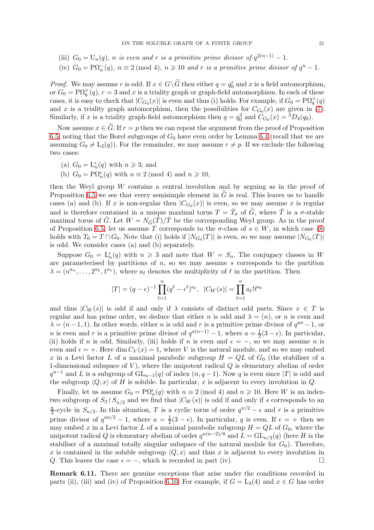- (iii)  $G_0 = U_n(q)$ , *n is even and r is a primitive prime divisor of*  $q^{2(n-1)} 1$ *.*
- (iv)  $G_0 = \overline{P\Omega_n(q)}$ ,  $n \equiv 2 \pmod{4}$ ,  $n \geq 10$  and r is a primitive prime divisor of  $q^n 1$ .

*Proof.* We may assume r is odd. If  $x \in G \setminus \widetilde{G}$  then either  $q = q_0^r$  and x is a field automorphism, or  $G_0 = \text{P}\Omega_8^+(q)$ ,  $r = 3$  and x is a triality graph or graph-field automorphism. In each of these cases, it is easy to check that  $|C_{G_0}(x)|$  is even and thus (i) holds. For example, if  $G_0 = \mathrm{P}\Omega_8^+(q)$ and x is a triality graph automorphism, then the possibilities for  $C_{G_0}(x)$  are given in [\(7\)](#page-18-1). Similarly, if x is a triality graph-field automorphism then  $q = q_0^3$  and  $C_{G_0}(x) = {}^3D_4(q_0)$ .

Now assume  $x \in \tilde{G}$ . If  $r = p$  then we can repeat the argument from the proof of Proposition [6.5,](#page-17-2) noting that the Borel subgroups of  $G_0$  have even order by Lemma [6.4](#page-17-1) (recall that we are assuming  $G_0 \neq L_2(q)$ . For the remainder, we may assume  $r \neq p$ . If we exclude the following two cases:

- (a)  $G_0 = \mathcal{L}_n^{\epsilon}(q)$  with  $n \geqslant 3$ ; and
- (b)  $G_0 = \mathrm{P}\Omega_n^{\epsilon}(q)$  with  $n \equiv 2 \pmod{4}$  and  $n \geq 10$ ,

then the Weyl group W contains a central involution and by arguing as in the proof of Proposition [6.5](#page-17-2) we see that every semisimple element in  $G$  is real. This leaves us to handle cases (a) and (b). If x is non-regular then  $|C_{G_0}(x)|$  is even, so we may assume x is regular and is therefore contained in a unique maximal torus  $T = \overline{T}_{\sigma}$  of  $\widetilde{G}$ , where  $\overline{T}$  is a  $\sigma$ -stable maximal torus of  $\bar{G}$ . Let  $W = N_{\bar{G}}(\bar{T})/\bar{T}$  be the corresponding Weyl group. As in the proof of Proposition [6.5,](#page-17-2) let us assume T corresponds to the  $\sigma$ -class of  $s \in W$ , in which case [\(8\)](#page-18-2) holds with  $T_0 = T \cap G_0$ . Note that (i) holds if  $|N_{G_0}(T)|$  is even, so we may assume  $|N_{G_0}(T)|$ is odd. We consider cases (a) and (b) separately.

Suppose  $G_0 = L_n^{\epsilon}(q)$  with  $n \geq 3$  and note that  $W = S_n$ . The conjugacy classes in W are parameterised by partitions of  $n$ , so we may assume  $s$  corresponds to the partition  $\lambda = (n^{a_n}, \ldots, 2^{a_2}, 1^{a_1}),$  where  $a_\ell$  denotes the multiplicity of  $\ell$  in the partition. Then

$$
|T| = (q - \epsilon)^{-1} \prod_{\ell=1}^{n} (q^{\ell} - \epsilon^{\ell})^{a_{\ell}}, \ |C_W(s)| = \prod_{\ell=1}^{n} a_{\ell}! \ell^{a_{\ell}}
$$

and thus  $|C_W(s)|$  is odd if and only if  $\lambda$  consists of distinct odd parts. Since  $x \in T$  is regular and has prime order, we deduce that either n is odd and  $\lambda = (n)$ , or n is even and  $\lambda = (n-1, 1)$ . In other words, either n is odd and r is a primitive prime divisor of  $q^{an} - 1$ , or *n* is even and *r* is a primitive prime divisor of  $q^{a(n-1)} - 1$ , where  $a = \frac{1}{2}(3 - \epsilon)$ . In particular, (ii) holds if n is odd. Similarly, (iii) holds if n is even and  $\epsilon = -$ , so we may assume n is even and  $\epsilon = +$ . Here dim  $C_V(x) = 1$ , where V is the natural module, and so we may embed x in a Levi factor L of a maximal parabolic subgroup  $H = QL$  of  $G_0$  (the stabiliser of a 1-dimensional subspace of  $V$ ), where the unipotent radical  $Q$  is elementary abelian of order  $q^{n-1}$  and L is a subgroup of  $GL_{n-1}(q)$  of index  $(n, q-1)$ . Now q is even since |T| is odd and the subgroup  $\langle Q, x \rangle$  of H is soluble. In particular, x is adjacent to every involution in Q.

Finally, let us assume  $G_0 = \mathrm{P}\Omega_n^{\epsilon}(q)$  with  $n \equiv 2 \pmod{4}$  and  $n \geq 10$ . Here W is an indextwo subgroup of  $S_2 \wr S_{n/2}$  and we find that  $|C_W(s)|$  is odd if and only if s corresponds to an n  $\frac{n}{2}$ -cycle in  $S_{n/2}$ . In this situation, T is a cyclic torus of order  $q^{n/2} - \epsilon$  and r is a primitive prime divisor of  $q^{an/2} - 1$ , where  $a = \frac{1}{2}$  $\frac{1}{2}(3 - \epsilon)$ . In particular, q is even. If  $\epsilon = +$  then we may embed x in a Levi factor L of a maximal parabolic subgroup  $H = QL$  of  $G_0$ , where the unipotent radical Q is elementary abelian of order  $q^{n(n-2)/8}$  and  $\tilde{L} = GL_{n/2}(q)$  (here H is the stabiliser of a maximal totally singular subspace of the natural module for  $G_0$ ). Therefore, x is contained in the soluble subgroup  $\langle Q, x \rangle$  and thus x is adjacent to every involution in Q. This leaves the case  $\epsilon = -$ , which is recorded in part (iv).

Remark 6.11. There are genuine exceptions that arise under the conditions recorded in parts (ii), (iii) and (iv) of Proposition [6.10.](#page-19-1) For example, if  $G = L_3(4)$  and  $x \in G$  has order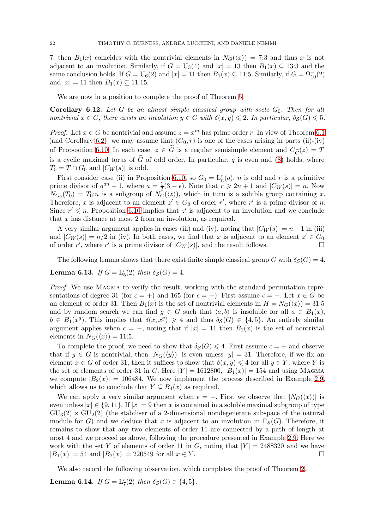7, then  $B_1(x)$  coincides with the nontrivial elements in  $N_G(\langle x \rangle) = 7:3$  and thus x is not adjacent to an involution. Similarly, if  $G = U_3(4)$  and  $|x| = 13$  then  $B_1(x) \subseteq 13:3$  and the same conclusion holds. If  $G = U_6(2)$  and  $|x| = 11$  then  $B_1(x) \subseteq 11.5$ . Similarly, if  $G = \Omega_{10}^{-}(2)$ and  $|x| = 11$  then  $B_1(x) \subseteq 11:15$ .

We are now in a position to complete the proof of Theorem [5.](#page-2-0)

<span id="page-21-0"></span>**Corollary 6.12.** Let  $G$  be an almost simple classical group with socle  $G_0$ . Then for all *nontrivial*  $x \in G$ *, there exists an involution*  $y \in G$  *with*  $\delta(x, y) \leq 2$ *. In particular,*  $\delta_S(G) \leq 5$ *.* 

*Proof.* Let  $x \in G$  be nontrivial and assume  $z = x^m$  has prime order r. In view of Theorem [6.1](#page-16-3) (and Corollary [6.2\)](#page-17-3), we may assume that  $(G_0, r)$  is one of the cases arising in parts (ii)-(iv) of Proposition [6.10.](#page-19-1) In each case,  $z \in \tilde{G}$  is a regular semisimple element and  $C_{\tilde{G}}(z) = T$ is a cyclic maximal torus of  $\tilde{G}$  of odd order. In particular, q is even and [\(8\)](#page-18-2) holds, where  $T_0 = T \cap G_0$  and  $|C_W(s)|$  is odd.

First consider case (ii) in Proposition [6.10,](#page-19-1) so  $G_0 = \mathcal{L}_n^{\epsilon}(q)$ , n is odd and r is a primitive prime divisor of  $q^{an} - 1$ , where  $a = \frac{1}{2}$  $\frac{1}{2}(3-\epsilon)$ . Note that  $r \geq 2n+1$  and  $|C_W(s)| = n$ . Now  $N_{G_0}(T_0) = T_0: n$  is a subgroup of  $N_G(\langle z \rangle)$ , which in turn is a soluble group containing x. Therefore, x is adjacent to an element  $z' \in G_0$  of order r', where r' is a prime divisor of n. Since  $r' \leqslant n$ , Proposition [6.10](#page-19-1) implies that z' is adjacent to an involution and we conclude that x has distance at most 2 from an involution, as required.

A very similar argument applies in cases (iii) and (iv), noting that  $|C_W(s)| = n - 1$  in (iii) and  $|C_W(s)| = n/2$  in (iv). In both cases, we find that x is adjacent to an element  $z' \in G_0$ of order r', where r' is a prime divisor of  $|C_W(s)|$ , and the result follows.

The following lemma shows that there exist finite simple classical group G with  $\delta_S(G) = 4$ .

**Lemma 6.13.** *If*  $G = L_5^{\epsilon}(2)$  *then*  $\delta_S(G) = 4$ *.* 

*Proof.* We use MAGMA to verify the result, working with the standard permutation representations of degree 31 (for  $\epsilon = +$ ) and 165 (for  $\epsilon = -$ ). First assume  $\epsilon = +$ . Let  $x \in G$  be an element of order 31. Then  $B_1(x)$  is the set of nontrivial elements in  $H = N_G(\langle x \rangle) = 31:5$ and by random search we can find  $g \in G$  such that  $\langle a, b \rangle$  is insoluble for all  $a \in B_1(x)$ ,  $b \in B_1(x^g)$ . This implies that  $\delta(x, x^g) \geq 4$  and thus  $\delta_{\mathcal{S}}(G) \in \{4, 5\}$ . An entirely similar argument applies when  $\epsilon = -$ , noting that if  $|x| = 11$  then  $B_1(x)$  is the set of nontrivial elements in  $N_G(\langle x \rangle) = 11:5$ .

To complete the proof, we need to show that  $\delta_{\mathcal{S}}(G) \leq 4$ . First assume  $\epsilon = +$  and observe that if  $y \in G$  is nontrivial, then  $|N_G(\langle y \rangle)|$  is even unless  $|y| = 31$ . Therefore, if we fix an element  $x \in G$  of order 31, then it suffices to show that  $\delta(x, y) \leq 4$  for all  $y \in Y$ , where Y is the set of elements of order 31 in G. Here  $|Y| = 1612800, |B_1(x)| = 154$  and using MAGMA we compute  $|B_2(x)| = 106484$ . We now implement the process described in Example [2.9,](#page-7-4) which allows us to conclude that  $Y \subseteq B_4(x)$  as required.

We can apply a very similar argument when  $\epsilon = -$ . First we observe that  $|N_G(\langle x \rangle)|$  is even unless  $|x| \in \{9, 11\}$ . If  $|x| = 9$  then x is contained in a soluble maximal subgroup of type  $GU<sub>3</sub>(2) \times GU<sub>2</sub>(2)$  (the stabiliser of a 2-dimensional nondegenerate subspace of the natural module for G) and we deduce that x is adjacent to an involution in  $\Gamma_{\mathcal{S}}(G)$ . Therefore, it remains to show that any two elements of order 11 are connected by a path of length at most 4 and we proceed as above, following the procedure presented in Example [2.9.](#page-7-4) Here we work with the set Y of elements of order 11 in G, noting that  $|Y| = 2488320$  and we have  $|B_1(x)| = 54$  and  $|B_2(x)| = 220549$  for all  $x \in Y$ .

We also record the following observation, which completes the proof of Theorem [2.](#page-1-0)

**Lemma 6.14.** *If*  $G = L_7^{\epsilon}(2)$  *then*  $\delta_{\mathcal{S}}(G) \in \{4, 5\}$ *.*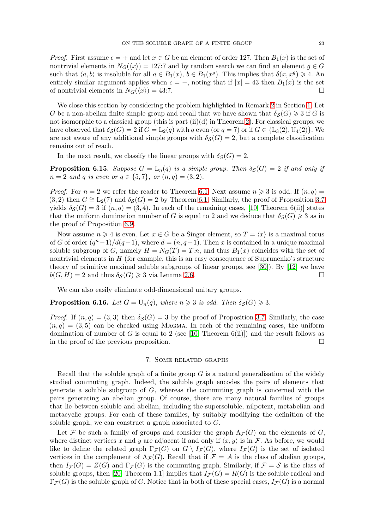*Proof.* First assume  $\epsilon = +$  and let  $x \in G$  be an element of order 127. Then  $B_1(x)$  is the set of nontrivial elements in  $N_G(\langle x \rangle) = 127.7$  and by random search we can find an element  $q \in G$ such that  $\langle a, b \rangle$  is insoluble for all  $a \in B_1(x)$ ,  $b \in B_1(x^g)$ . This implies that  $\delta(x, x^g) \geq 4$ . An entirely similar argument applies when  $\epsilon = -$ , noting that if  $|x| = 43$  then  $B_1(x)$  is the set of nontrivial elements in  $N_G(\langle x \rangle) = 43:7$ .

We close this section by considering the problem highlighted in Remark [2](#page-1-2) in Section [1.](#page-0-0) Let G be a non-abelian finite simple group and recall that we have shown that  $\delta_S(G) \geq 3$  if G is not isomorphic to a classical group (this is part  $(ii)(d)$  in Theorem [2\)](#page-1-0). For classical groups, we have observed that  $\delta_S(G) = 2$  if  $G = L_2(q)$  with q even (or  $q = 7$ ) or if  $G \in \{L_3(2), U_4(2)\}\$ . We are not aware of any additional simple groups with  $\delta_S(G) = 2$ , but a complete classification remains out of reach.

In the next result, we classify the linear groups with  $\delta_{\mathcal{S}}(G) = 2$ .

<span id="page-22-0"></span>**Proposition 6.15.** *Suppose*  $G = L_n(q)$  *is a simple group. Then*  $\delta_S(G) = 2$  *if and only if*  $n = 2$  *and* q *is even or*  $q \in \{5, 7\}$ , *or*  $(n, q) = (3, 2)$ *.* 

*Proof.* For  $n = 2$  we refer the reader to Theorem [6.1.](#page-16-3) Next assume  $n \geq 3$  is odd. If  $(n, q) =$  $(3, 2)$  then  $G \cong L_2(7)$  and  $\delta_S(G) = 2$  by Theorem [6.1.](#page-16-3) Similarly, the proof of Proposition [3.7](#page-8-1) yields  $\delta_{\mathcal{S}}(G) = 3$  if  $(n, q) = (3, 4)$ . In each of the remaining cases, [\[10,](#page-26-15) Theorem 6(ii)] states that the uniform domination number of G is equal to 2 and we deduce that  $\delta_{\mathcal{S}}(G) \geq 3$  as in the proof of Proposition [6.9.](#page-19-2)

Now assume  $n \geq 4$  is even. Let  $x \in G$  be a Singer element, so  $T = \langle x \rangle$  is a maximal torus of G of order  $(q^{n}-1)/d(q-1)$ , where  $d = (n, q-1)$ . Then x is contained in a unique maximal soluble subgroup of G, namely  $H = N<sub>G</sub>(T) = T.n$ , and thus  $B<sub>1</sub>(x)$  coincides with the set of nontrivial elements in  $H$  (for example, this is an easy consequence of Suprunenko's structure theory of primitive maximal soluble subgroups of linear groups, see [\[30\]](#page-27-11)). By [\[12\]](#page-26-19) we have  $b(G, H) = 2$  and thus  $\delta_{\mathcal{S}}(G) \geq 3$  via Lemma [2.6.](#page-5-0)

We can also easily eliminate odd-dimensional unitary groups.

**Proposition 6.16.** *Let*  $G = U_n(q)$ *, where*  $n \geq 3$  *is odd. Then*  $\delta_S(G) \geq 3$ *.* 

*Proof.* If  $(n, q) = (3, 3)$  then  $\delta_S(G) = 3$  by the proof of Proposition [3.7.](#page-8-1) Similarly, the case  $(n, q) = (3, 5)$  can be checked using MAGMA. In each of the remaining cases, the uniform domination of number of G is equal to 2 (see [\[10,](#page-26-15) Theorem 6(ii)]) and the result follows as in the proof of the previous proposition.

## 7. Some related graphs

<span id="page-22-1"></span>Recall that the soluble graph of a finite group  $G$  is a natural generalisation of the widely studied commuting graph. Indeed, the soluble graph encodes the pairs of elements that generate a soluble subgroup of  $G$ , whereas the commuting graph is concerned with the pairs generating an abelian group. Of course, there are many natural families of groups that lie between soluble and abelian, including the supersoluble, nilpotent, metabelian and metacyclic groups. For each of these families, by suitably modifying the definition of the soluble graph, we can construct a graph associated to G.

Let F be such a family of groups and consider the graph  $\Lambda_{\mathcal{F}}(G)$  on the elements of G, where distinct vertices x and y are adjacent if and only if  $\langle x, y \rangle$  is in F. As before, we would like to define the related graph  $\Gamma_{\mathcal{F}}(G)$  on  $G \setminus I_{\mathcal{F}}(G)$ , where  $I_{\mathcal{F}}(G)$  is the set of isolated vertices in the complement of  $\Lambda_{\mathcal{F}}(G)$ . Recall that if  $\mathcal{F} = \mathcal{A}$  is the class of abelian groups, then  $I_{\mathcal{F}}(G) = Z(G)$  and  $\Gamma_{\mathcal{F}}(G)$  is the commuting graph. Similarly, if  $\mathcal{F} = \mathcal{S}$  is the class of soluble groups, then [\[20,](#page-26-2) Theorem 1.1] implies that  $I_{\mathcal{F}}(G) = R(G)$  is the soluble radical and  $\Gamma_{\mathcal{F}}(G)$  is the soluble graph of G. Notice that in both of these special cases,  $I_{\mathcal{F}}(G)$  is a normal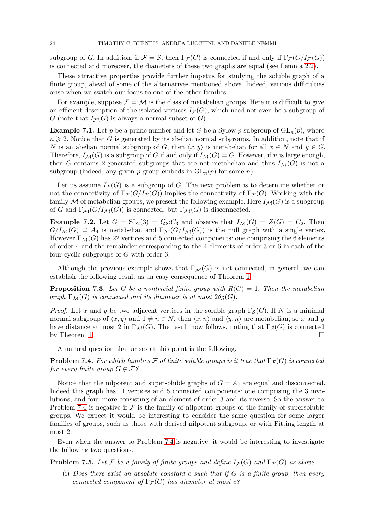subgroup of G. In addition, if  $\mathcal{F} = \mathcal{S}$ , then  $\Gamma_{\mathcal{F}}(G)$  is connected if and only if  $\Gamma_{\mathcal{F}}(G/I_{\mathcal{F}}(G))$ is connected and moreover, the diameters of these two graphs are equal (see Lemma [2.2\)](#page-4-1).

These attractive properties provide further impetus for studying the soluble graph of a finite group, ahead of some of the alternatives mentioned above. Indeed, various difficulties arise when we switch our focus to one of the other families.

For example, suppose  $\mathcal{F} = \mathcal{M}$  is the class of metabelian groups. Here it is difficult to give an efficient description of the isolated vertices  $I_{\mathcal{F}}(G)$ , which need not even be a subgroup of G (note that  $I_{\mathcal{F}}(G)$  is always a normal subset of G).

**Example 7.1.** Let p be a prime number and let G be a Sylow p-subgroup of  $GL_n(p)$ , where  $n \geq 2$ . Notice that G is generated by its abelian normal subgroups. In addition, note that if N is an abelian normal subgroup of G, then  $\langle x, y \rangle$  is metabelian for all  $x \in N$  and  $y \in G$ . Therefore,  $I_{\mathcal{M}}(G)$  is a subgroup of G if and only if  $I_{\mathcal{M}}(G) = G$ . However, if n is large enough, then G contains 2-generated subgroups that are not metabelian and thus  $I_{\mathcal{M}}(G)$  is not a subgroup (indeed, any given *p*-group embeds in  $GL_n(p)$  for some *n*).

Let us assume  $I_{\mathcal{F}}(G)$  is a subgroup of G. The next problem is to determine whether or not the connectivity of  $\Gamma_{\mathcal{F}}(G/I_{\mathcal{F}}(G))$  implies the connectivity of  $\Gamma_{\mathcal{F}}(G)$ . Working with the family M of metabelian groups, we present the following example. Here  $I_{\mathcal{M}}(G)$  is a subgroup of G and  $\Gamma_{\mathcal{M}}(G/I_{\mathcal{M}}(G))$  is connected, but  $\Gamma_{\mathcal{M}}(G)$  is disconnected.

**Example 7.2.** Let  $G = SL_2(3) = Q_8:C_3$  and observe that  $I_{\mathcal{M}}(G) = Z(G) = C_2$ . Then  $G/I_{\mathcal{M}}(G) \cong A_4$  is metabelian and  $\Gamma_{\mathcal{M}}(G/I_{\mathcal{M}}(G))$  is the null graph with a single vertex. However  $\Gamma_{\mathcal{M}}(G)$  has 22 vertices and 5 connected components: one comprising the 6 elements of order 4 and the remainder corresponding to the 4 elements of order 3 or 6 in each of the four cyclic subgroups of G with order 6.

Although the previous example shows that  $\Gamma_{\mathcal{M}}(G)$  is not connected, in general, we can establish the following result as an easy consequence of Theorem [1.](#page-1-1)

**Proposition 7.3.** Let G be a nontrivial finite group with  $R(G) = 1$ . Then the metabelian *graph*  $\Gamma_{\mathcal{M}}(G)$  *is connected and its diameter is at most*  $2\delta_{\mathcal{S}}(G)$ *.* 

*Proof.* Let x and y be two adjacent vertices in the soluble graph  $\Gamma_{\mathcal{S}}(G)$ . If N is a minimal normal subgroup of  $\langle x, y \rangle$  and  $1 \neq n \in N$ , then  $\langle x, n \rangle$  and  $\langle y, n \rangle$  are metabelian, so x and y have distance at most 2 in  $\Gamma_{\mathcal{M}}(G)$ . The result now follows, noting that  $\Gamma_{\mathcal{S}}(G)$  is connected by Theorem [1.](#page-1-1)  $\Box$ 

A natural question that arises at this point is the following.

<span id="page-23-0"></span>**Problem 7.4.** *For which families*  $\mathcal F$  *of finite soluble groups is it true that*  $\Gamma_{\mathcal F}(G)$  *is connected for every finite group*  $G \notin \mathcal{F}$ ?

Notice that the nilpotent and supersoluble graphs of  $G = A_4$  are equal and disconnected. Indeed this graph has 11 vertices and 5 connected components: one comprising the 3 involutions, and four more consisting of an element of order 3 and its inverse. So the answer to Problem [7.4](#page-23-0) is negative if  $\mathcal F$  is the family of nilpotent groups or the family of supersoluble groups. We expect it would be interesting to consider the same question for some larger families of groups, such as those with derived nilpotent subgroup, or with Fitting length at most 2.

Even when the answer to Problem [7.4](#page-23-0) is negative, it would be interesting to investigate the following two questions.

**Problem 7.5.** Let F be a family of finite groups and define  $I_{\mathcal{F}}(G)$  and  $\Gamma_{\mathcal{F}}(G)$  as above.

(i) *Does there exist an absolute constant* c *such that if* G *is a finite group, then every connected component of*  $\Gamma$ <sub>*F*</sub>(*G*) *has diameter at most c*?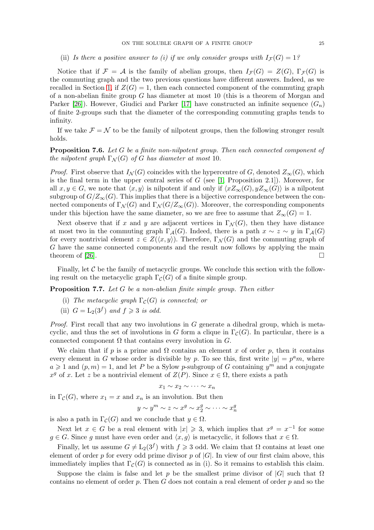## (ii) Is there a positive answer to (i) if we only consider groups with  $I_{\mathcal{F}}(G) = 1$ ?

Notice that if  $\mathcal{F} = \mathcal{A}$  is the family of abelian groups, then  $I_{\mathcal{F}}(G) = Z(G), \Gamma_{\mathcal{F}}(G)$  is the commuting graph and the two previous questions have different answers. Indeed, as we recalled in Section [1,](#page-0-0) if  $Z(G) = 1$ , then each connected component of the commuting graph of a non-abelian finite group  $G$  has diameter at most 10 (this is a theorem of Morgan and Parker [\[26\]](#page-27-2)). However, Giudici and Parker [\[17\]](#page-26-0) have constructed an infinite sequence  $(G_n)$ of finite 2-groups such that the diameter of the corresponding commuting graphs tends to infinity.

If we take  $\mathcal{F} = \mathcal{N}$  to be the family of nilpotent groups, then the following stronger result holds.

## Proposition 7.6. *Let* G *be a finite non-nilpotent group. Then each connected component of the nilpotent graph*  $\Gamma_N(G)$  *of* G *has diameter at most* 10*.*

*Proof.* First observe that  $I_{\mathcal{N}}(G)$  coincides with the hypercentre of G, denoted  $Z_{\infty}(G)$ , which is the final term in the upper central series of  $G$  (see [\[1,](#page-26-20) Proposition 2.1]). Moreover, for all  $x, y \in G$ , we note that  $\langle x, y \rangle$  is nilpotent if and only if  $\langle xZ_\infty(G), yZ_\infty(G) \rangle$  is a nilpotent subgroup of  $G/Z_{\infty}(G)$ . This implies that there is a bijective correspondence between the connected components of  $\Gamma_N(G)$  and  $\Gamma_N(G/Z_\infty(G))$ . Moreover, the corresponding components under this bijection have the same diameter, so we are free to assume that  $Z_{\infty}(G) = 1$ .

Next observe that if x and y are adjacent vertices in  $\Gamma_{\mathcal{N}}(G)$ , then they have distance at most two in the commuting graph  $\Gamma_{\mathcal{A}}(G)$ . Indeed, there is a path  $x \sim z \sim y$  in  $\Gamma_{\mathcal{A}}(G)$ for every nontrivial element  $z \in Z(\langle x, y \rangle)$ . Therefore,  $\Gamma_{\mathcal{N}}(G)$  and the commuting graph of G have the same connected components and the result now follows by applying the main theorem of [\[26\]](#page-27-2).

Finally, let  $\mathcal C$  be the family of metacyclic groups. We conclude this section with the following result on the metacyclic graph  $\Gamma_{\mathcal{C}}(G)$  of a finite simple group.

<span id="page-24-0"></span>Proposition 7.7. *Let* G *be a non-abelian finite simple group. Then either*

- (i) *The metacyclic graph*  $\Gamma_{\mathcal{C}}(G)$  *is connected; or*
- (ii)  $G = L_2(3^f)$  and  $f \ge 3$  is odd.

*Proof.* First recall that any two involutions in G generate a dihedral group, which is metacyclic, and thus the set of involutions in G form a clique in  $\Gamma_{\mathcal{C}}(G)$ . In particular, there is a connected component  $\Omega$  that contains every involution in  $G$ .

We claim that if p is a prime and  $\Omega$  contains an element x of order p, then it contains every element in G whose order is divisible by p. To see this, first write  $|y| = p^a m$ , where  $a \geq 1$  and  $(p, m) = 1$ , and let P be a Sylow p-subgroup of G containing  $y^m$  and a conjugate  $x^g$  of x. Let z be a nontrivial element of  $Z(P)$ . Since  $x \in \Omega$ , there exists a path

$$
x_1 \sim x_2 \sim \cdots \sim x_n
$$

in  $\Gamma_{\mathcal{C}}(G)$ , where  $x_1 = x$  and  $x_n$  is an involution. But then

$$
y \sim y^m \sim z \sim x^g \sim x_2^g \sim \cdots \sim x_n^g
$$

is also a path in  $\Gamma_{\mathcal{C}}(G)$  and we conclude that  $y \in \Omega$ .

Next let  $x \in G$  be a real element with  $|x| \geq 3$ , which implies that  $x^g = x^{-1}$  for some  $g \in G$ . Since g must have even order and  $\langle x, g \rangle$  is metacyclic, it follows that  $x \in \Omega$ .

Finally, let us assume  $G \neq L_2(3^f)$  with  $f \geq 3$  odd. We claim that  $\Omega$  contains at least one element of order p for every odd prime divisor p of  $|G|$ . In view of our first claim above, this immediately implies that  $\Gamma_{\mathcal{C}}(G)$  is connected as in (i). So it remains to establish this claim.

Suppose the claim is false and let p be the smallest prime divisor of  $|G|$  such that  $\Omega$ contains no element of order  $p$ . Then  $G$  does not contain a real element of order  $p$  and so the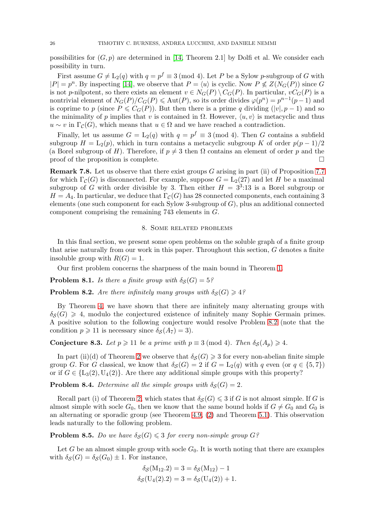possibilities for  $(G, p)$  are determined in [\[14,](#page-26-21) Theorem 2.1] by Dolfi et al. We consider each possibility in turn.

First assume  $G \neq L_2(q)$  with  $q = p^f \equiv 3 \pmod{4}$ . Let P be a Sylow p-subgroup of G with  $|P| = p^n$ . By inspecting [\[14\]](#page-26-21), we observe that  $P = \langle u \rangle$  is cyclic. Now  $P \nleq Z(N_G(P))$  since G is not p-nilpotent, so there exists an element  $v \in N_G(P) \setminus C_G(P)$ . In particular,  $vC_G(P)$  is a nontrivial element of  $N_G(P)/C_G(P) \leq \text{Aut}(P)$ , so its order divides  $\varphi(p^n) = p^{n-1}(p-1)$  and is coprime to p (since  $P \leq C_G(P)$ ). But then there is a prime q dividing  $(|v|, p-1)$  and so the minimality of p implies that v is contained in  $\Omega$ . However,  $\langle u, v \rangle$  is metacyclic and thus  $u \sim v$  in  $\Gamma_c(G)$ , which means that  $u \in \Omega$  and we have reached a contradiction.

Finally, let us assume  $G = L_2(q)$  with  $q = p^f \equiv 3 \pmod{4}$ . Then G contains a subfield subgroup  $H = L_2(p)$ , which in turn contains a metacyclic subgroup K of order  $p(p-1)/2$ (a Borel subgroup of H). Therefore, if  $p \neq 3$  then  $\Omega$  contains an element of order p and the proof of the proposition is complete.  $\Box$ 

**Remark 7.8.** Let us observe that there exist groups  $G$  arising in part (ii) of Proposition [7.7](#page-24-0) for which  $\Gamma_{\mathcal{C}}(G)$  is disconnected. For example, suppose  $G = L_2(27)$  and let H be a maximal subgroup of G with order divisible by 3. Then either  $H = 3<sup>3</sup>:13$  is a Borel subgroup or  $H = A_4$ . In particular, we deduce that  $\Gamma_{\mathcal{C}}(G)$  has 28 connected components, each containing 3 elements (one such component for each Sylow 3-subgroup of  $G$ ), plus an additional connected component comprising the remaining 743 elements in G.

### 8. Some related problems

<span id="page-25-0"></span>In this final section, we present some open problems on the soluble graph of a finite group that arise naturally from our work in this paper. Throughout this section, G denotes a finite insoluble group with  $R(G) = 1$ .

Our first problem concerns the sharpness of the main bound in Theorem [1.](#page-1-1)

<span id="page-25-2"></span>**Problem 8.1.** *Is there a finite group with*  $\delta_S(G) = 5$ ?

<span id="page-25-1"></span>**Problem 8.2.** *Are there infinitely many groups with*  $\delta_S(G) \geq 4$ ?

By Theorem [4,](#page-2-2) we have shown that there are infinitely many alternating groups with  $\delta_S(G) \geq 4$ , modulo the conjectured existence of infinitely many Sophie Germain primes. A positive solution to the following conjecture would resolve Problem [8.2](#page-25-1) (note that the condition  $p \geq 11$  is necessary since  $\delta_{\mathcal{S}}(A_7) = 3$ .

**Conjecture 8.3.** *Let*  $p \ge 11$  *be a prime with*  $p \equiv 3 \pmod{4}$ *. Then*  $\delta_S(A_p) \ge 4$ *.* 

In part (ii)(d) of Theorem [2](#page-1-0) we observe that  $\delta_S(G) \geq 3$  for every non-abelian finite simple group G. For G classical, we know that  $\delta_{\mathcal{S}}(G) = 2$  if  $G = L_2(q)$  with q even (or  $q \in \{5, 7\}$ ) or if  $G \in \{L_3(2), U_4(2)\}\.$  Are there any additional simple groups with this property?

**Problem 8.4.** Determine all the simple groups with  $\delta_S(G) = 2$ .

Recall part (i) of Theorem [2,](#page-1-0) which states that  $\delta_{\mathcal{S}}(G) \leqslant 3$  if G is not almost simple. If G is almost simple with socle  $G_0$ , then we know that the same bound holds if  $G \neq G_0$  and  $G_0$  is an alternating or sporadic group (see Theorem [4.9,](#page-11-0) [\(2\)](#page-12-2) and Theorem [5.1\)](#page-12-1). This observation leads naturally to the following problem.

**Problem 8.5.** *Do we have*  $\delta_{\mathcal{S}}(G) \leq 3$  *for every non-simple group*  $G$ *?* 

Let G be an almost simple group with socle  $G_0$ . It is worth noting that there are examples with  $\delta_{\mathcal{S}}(G) = \delta_{\mathcal{S}}(G_0) \pm 1$ . For instance,

$$
\delta_{\mathcal{S}}(M_{12}.2) = 3 = \delta_{\mathcal{S}}(M_{12}) - 1
$$
  

$$
\delta_{\mathcal{S}}(U_4(2).2) = 3 = \delta_{\mathcal{S}}(U_4(2)) + 1.
$$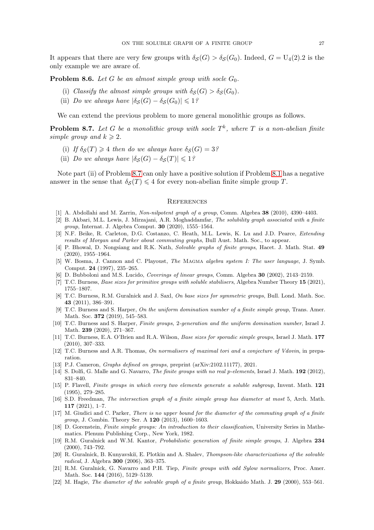It appears that there are very few groups with  $\delta_S(G) > \delta_S(G_0)$ . Indeed,  $G = U_4(2).2$  is the only example we are aware of.

**Problem 8.6.** Let G be an almost simple group with socle  $G_0$ .

- (i) *Classify the almost simple groups with*  $\delta_S(G) > \delta_S(G_0)$ *.*
- (ii) *Do we always have*  $|\delta_S(G) \delta_S(G_0)| \leq 1$ ?

We can extend the previous problem to more general monolithic groups as follows.

<span id="page-26-22"></span>**Problem 8.7.** Let G be a monolithic group with socle  $T<sup>k</sup>$ , where T is a non-abelian finite *simple group and*  $k \geq 2$ *.* 

- (i) If  $\delta_S(T) \geq 4$  *then do we always have*  $\delta_S(G) = 3$ ?
- (ii) *Do we always have*  $|\delta_{\mathcal{S}}(G) \delta_{\mathcal{S}}(T)| \leq 1$ ?

Note part (ii) of Problem [8.7](#page-26-22) can only have a positive solution if Problem [8.1](#page-25-2) has a negative answer in the sense that  $\delta_{\mathcal{S}}(T) \leq 4$  for every non-abelian finite simple group T.

### **REFERENCES**

- <span id="page-26-20"></span><span id="page-26-5"></span>[1] A. Abdollahi and M. Zarrin, Non-nilpotent graph of a group, Comm. Algebra 38 (2010), 4390–4403.
- [2] B. Akbari, M.L. Lewis, J. Mirzajani, A.R. Moghaddamfar, The solubility graph associated with a finite group, Internat. J. Algebra Comput. 30 (2020), 1555–1564.
- <span id="page-26-1"></span>[3] N.F. Beike, R. Carleton, D.G. Costanzo, C. Heath, M.L. Lewis, K. Lu and J.D. Pearce, *Extending* results of Morgan and Parker about commuting graphs, Bull Aust. Math. Soc., to appear.
- <span id="page-26-4"></span>[4] P. Bhowal, D. Nongsiang and R.K. Nath, Solvable graphs of finite groups, Hacet. J. Math. Stat. 49 (2020), 1955–1964.
- <span id="page-26-9"></span>[5] W. Bosma, J. Cannon and C. Playoust, The MAGMA algebra system I: The user language, J. Symb. Comput. 24 (1997), 235–265.
- <span id="page-26-17"></span><span id="page-26-16"></span>[6] D. Bubboloni and M.S. Lucido, Coverings of linear groups, Comm. Algebra 30 (2002), 2143–2159.
- <span id="page-26-13"></span>[7] T.C. Burness, Base sizes for primitive groups with soluble stabilisers, Algebra Number Theory 15 (2021), 1755–1807.
- [8] T.C. Burness, R.M. Guralnick and J. Saxl, On base sizes for symmetric groups, Bull. Lond. Math. Soc. 43 (2011), 386–391.
- <span id="page-26-10"></span>[9] T.C. Burness and S. Harper, On the uniform domination number of a finite simple group, Trans. Amer. Math. Soc. 372 (2019), 545–583.
- <span id="page-26-15"></span>[10] T.C. Burness and S. Harper, Finite groups, 2-generation and the uniform domination number, Israel J. Math. 239 (2020), 271–367.
- <span id="page-26-11"></span>[11] T.C. Burness, E.A. O'Brien and R.A. Wilson, Base sizes for sporadic simple groups, Israel J. Math. 177 (2010), 307–333.
- <span id="page-26-19"></span><span id="page-26-7"></span>[12] T.C. Burness and A.R. Thomas, On normalisers of maximal tori and a conjecture of Vdovin, in preparation.
- <span id="page-26-21"></span>[13] P.J. Cameron, Graphs defined on groups, preprint (arXiv:2102.11177), 2021.
- <span id="page-26-3"></span>[14] S. Dolfi, G. Malle and G. Navarro, *The finite groups with no real p-elements*, Israel J. Math. **192** (2012), 831–840.
- [15] P. Flavell, Finite groups in which every two elements generate a soluble subgroup, Invent. Math. 121 (1995), 279–285.
- <span id="page-26-8"></span>[16] S.D. Freedman, The intersection graph of a finite simple group has diameter at most 5, Arch. Math. 117 (2021), 1–7.
- <span id="page-26-0"></span>[17] M. Giudici and C. Parker, There is no upper bound for the diameter of the commuting graph of a finite group, J. Combin. Theory Ser. A 120 (2013), 1600–1603.
- <span id="page-26-12"></span>[18] D. Gorenstein, Finite simple groups: An introduction to their classification, University Series in Mathematics. Plenum Publishing Corp., New York, 1982.
- <span id="page-26-18"></span>[19] R.M. Guralnick and W.M. Kantor, *Probabilistic generation of finite simple groups*, J. Algebra 234 (2000), 743–792.
- <span id="page-26-2"></span>[20] R. Guralnick, B. Kunyavskiĭ, E. Plotkin and A. Shalev, Thompson-like characterizations of the solvable radical, J. Algebra 300 (2006), 363–375.
- <span id="page-26-14"></span>[21] R.M. Guralnick, G. Navarro and P.H. Tiep, Finite groups with odd Sylow normalizers, Proc. Amer. Math. Soc. 144 (2016), 5129–5139.
- <span id="page-26-6"></span>[22] M. Hagie, *The diameter of the solvable graph of a finite group*, Hokkaido Math. J. 29 (2000), 553–561.